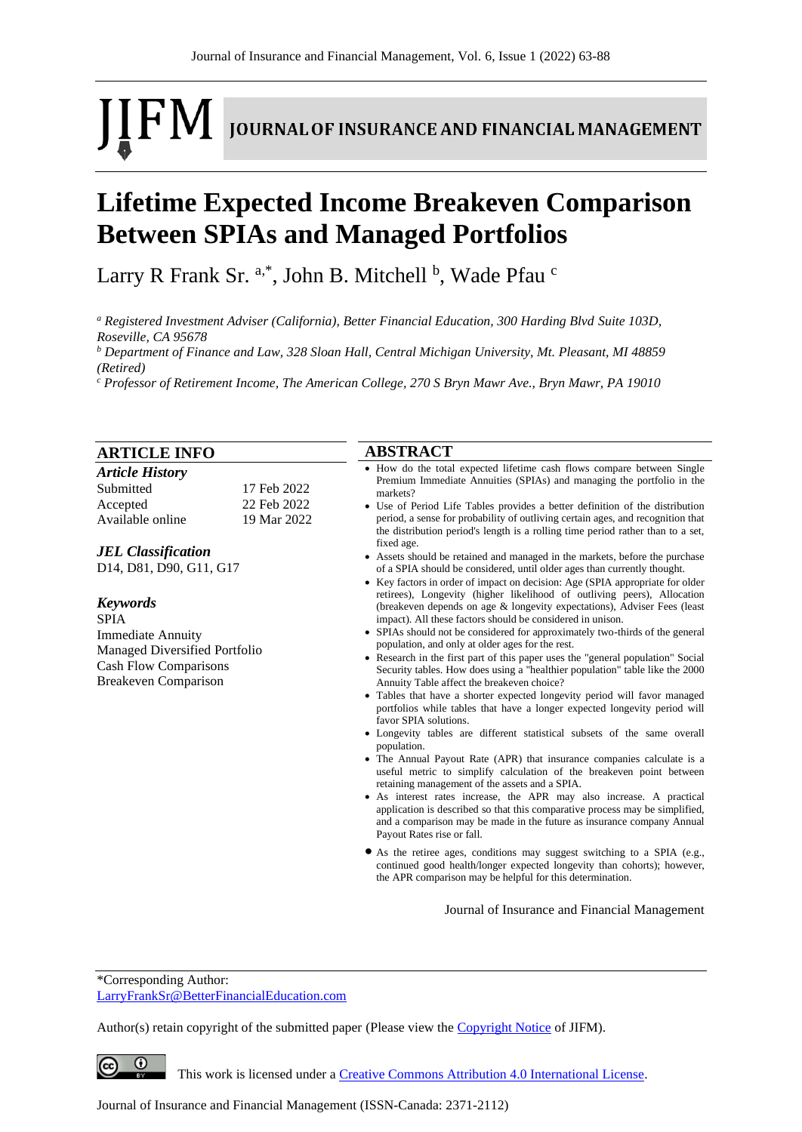# [FM] **JOURNAL OF INSURANCE AND FINANCIAL MANAGEMENT**

# **Lifetime Expected Income Breakeven Comparison Between SPIAs and Managed Portfolios**

Larry R Frank Sr. <sup>a,\*</sup>, John B. Mitchell <sup>b</sup>, Wade Pfau <sup>c</sup>

*<sup>a</sup> Registered Investment Adviser (California), Better Financial Education, 300 Harding Blvd Suite 103D, Roseville, CA 95678*

*<sup>b</sup> Department of Finance and Law, 328 Sloan Hall, Central Michigan University, Mt. Pleasant, MI 48859 (Retired)*

*<sup>c</sup> Professor of Retirement Income, The American College, 270 S Bryn Mawr Ave., Bryn Mawr, PA 19010*

| <b>ARTICLE INFO</b><br><b>Article History</b><br>Submitted<br>17 Feb 2022<br>22 Feb 2022<br>Accepted<br>Available online<br>19 Mar 2022<br><b>JEL Classification</b><br>D14, D81, D90, G11, G17<br><b>Keywords</b><br><b>SPIA</b><br><b>Immediate Annuity</b><br>Managed Diversified Portfolio<br><b>Cash Flow Comparisons</b><br><b>Breakeven Comparison</b> |  | <b>ABSTRACT</b>                                                                                                                                                                                                                                                                                                                                                                                                                                                                                                                                                                                                                                                                                                                                                                                                                                                                                                                                                                                                                                                                                                                                                                                                                                                                                                                                                                                                                                                                                                                                                                                                                                                                                                                                                                                                                                                                                                                                                                                                                                                                                                                                                                                                                                                              |  |  |
|---------------------------------------------------------------------------------------------------------------------------------------------------------------------------------------------------------------------------------------------------------------------------------------------------------------------------------------------------------------|--|------------------------------------------------------------------------------------------------------------------------------------------------------------------------------------------------------------------------------------------------------------------------------------------------------------------------------------------------------------------------------------------------------------------------------------------------------------------------------------------------------------------------------------------------------------------------------------------------------------------------------------------------------------------------------------------------------------------------------------------------------------------------------------------------------------------------------------------------------------------------------------------------------------------------------------------------------------------------------------------------------------------------------------------------------------------------------------------------------------------------------------------------------------------------------------------------------------------------------------------------------------------------------------------------------------------------------------------------------------------------------------------------------------------------------------------------------------------------------------------------------------------------------------------------------------------------------------------------------------------------------------------------------------------------------------------------------------------------------------------------------------------------------------------------------------------------------------------------------------------------------------------------------------------------------------------------------------------------------------------------------------------------------------------------------------------------------------------------------------------------------------------------------------------------------------------------------------------------------------------------------------------------------|--|--|
|                                                                                                                                                                                                                                                                                                                                                               |  | • How do the total expected lifetime cash flows compare between Single<br>Premium Immediate Annuities (SPIAs) and managing the portfolio in the<br>markets?<br>• Use of Period Life Tables provides a better definition of the distribution<br>period, a sense for probability of outliving certain ages, and recognition that<br>the distribution period's length is a rolling time period rather than to a set,<br>fixed age.<br>• Assets should be retained and managed in the markets, before the purchase<br>of a SPIA should be considered, until older ages than currently thought.<br>• Key factors in order of impact on decision: Age (SPIA appropriate for older<br>retirees), Longevity (higher likelihood of outliving peers), Allocation<br>(breakeven depends on age & longevity expectations), Adviser Fees (least<br>impact). All these factors should be considered in unison.<br>• SPIAs should not be considered for approximately two-thirds of the general<br>population, and only at older ages for the rest.<br>• Research in the first part of this paper uses the "general population" Social<br>Security tables. How does using a "healthier population" table like the 2000<br>Annuity Table affect the breakeven choice?<br>• Tables that have a shorter expected longevity period will favor managed<br>portfolios while tables that have a longer expected longevity period will<br>favor SPIA solutions.<br>• Longevity tables are different statistical subsets of the same overall<br>population.<br>• The Annual Payout Rate (APR) that insurance companies calculate is a<br>useful metric to simplify calculation of the breakeven point between<br>retaining management of the assets and a SPIA.<br>• As interest rates increase, the APR may also increase. A practical<br>application is described so that this comparative process may be simplified,<br>and a comparison may be made in the future as insurance company Annual<br>Payout Rates rise or fall.<br>• As the retiree ages, conditions may suggest switching to a SPIA (e.g.,<br>continued good health/longer expected longevity than cohorts); however,<br>the APR comparison may be helpful for this determination.<br>Journal of Insurance and Financial Management |  |  |
|                                                                                                                                                                                                                                                                                                                                                               |  |                                                                                                                                                                                                                                                                                                                                                                                                                                                                                                                                                                                                                                                                                                                                                                                                                                                                                                                                                                                                                                                                                                                                                                                                                                                                                                                                                                                                                                                                                                                                                                                                                                                                                                                                                                                                                                                                                                                                                                                                                                                                                                                                                                                                                                                                              |  |  |

\*Corresponding Author: [LarryFrankSr@BetterFinancialEducation.com](mailto:LarryFrankSr@BetterFinancialEducation.com)

 $\circ$ 

 $\left(\mathrm{cc}\right)$ 

Author(s) retain copyright of the submitted paper (Please view th[e Copyright Notice](http://www.journal-of-insurance-and-financial-management.com/index.php/JIFM/about/submissions#copyrightNotice) of JIFM).

This work is licensed under a [Creative Commons Attribution 4.0 International License.](http://creativecommons.org/licenses/by/4.0/)

Journal of Insurance and Financial Management (ISSN-Canada: 2371-2112)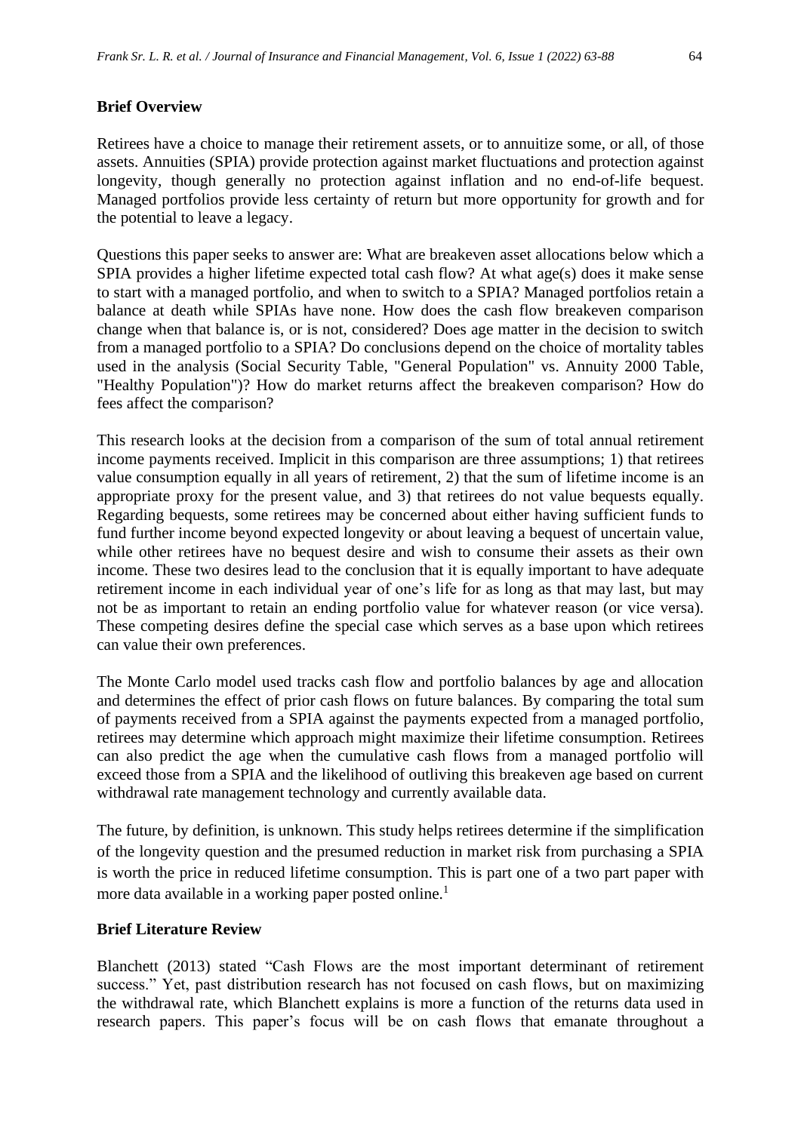#### **Brief Overview**

Retirees have a choice to manage their retirement assets, or to annuitize some, or all, of those assets. Annuities (SPIA) provide protection against market fluctuations and protection against longevity, though generally no protection against inflation and no end-of-life bequest. Managed portfolios provide less certainty of return but more opportunity for growth and for the potential to leave a legacy.

Questions this paper seeks to answer are: What are breakeven asset allocations below which a SPIA provides a higher lifetime expected total cash flow? At what age(s) does it make sense to start with a managed portfolio, and when to switch to a SPIA? Managed portfolios retain a balance at death while SPIAs have none. How does the cash flow breakeven comparison change when that balance is, or is not, considered? Does age matter in the decision to switch from a managed portfolio to a SPIA? Do conclusions depend on the choice of mortality tables used in the analysis (Social Security Table, "General Population" vs. Annuity 2000 Table, "Healthy Population")? How do market returns affect the breakeven comparison? How do fees affect the comparison?

This research looks at the decision from a comparison of the sum of total annual retirement income payments received. Implicit in this comparison are three assumptions; 1) that retirees value consumption equally in all years of retirement, 2) that the sum of lifetime income is an appropriate proxy for the present value, and 3) that retirees do not value bequests equally. Regarding bequests, some retirees may be concerned about either having sufficient funds to fund further income beyond expected longevity or about leaving a bequest of uncertain value, while other retirees have no bequest desire and wish to consume their assets as their own income. These two desires lead to the conclusion that it is equally important to have adequate retirement income in each individual year of one's life for as long as that may last, but may not be as important to retain an ending portfolio value for whatever reason (or vice versa). These competing desires define the special case which serves as a base upon which retirees can value their own preferences.

The Monte Carlo model used tracks cash flow and portfolio balances by age and allocation and determines the effect of prior cash flows on future balances. By comparing the total sum of payments received from a SPIA against the payments expected from a managed portfolio, retirees may determine which approach might maximize their lifetime consumption. Retirees can also predict the age when the cumulative cash flows from a managed portfolio will exceed those from a SPIA and the likelihood of outliving this breakeven age based on current withdrawal rate management technology and currently available data.

The future, by definition, is unknown. This study helps retirees determine if the simplification of the longevity question and the presumed reduction in market risk from purchasing a SPIA is worth the price in reduced lifetime consumption. This is part one of a two part paper with more data available in a working paper posted online.<sup>1</sup>

#### **Brief Literature Review**

Blanchett (2013) stated "Cash Flows are the most important determinant of retirement success." Yet, past distribution research has not focused on cash flows, but on maximizing the withdrawal rate, which Blanchett explains is more a function of the returns data used in research papers. This paper's focus will be on cash flows that emanate throughout a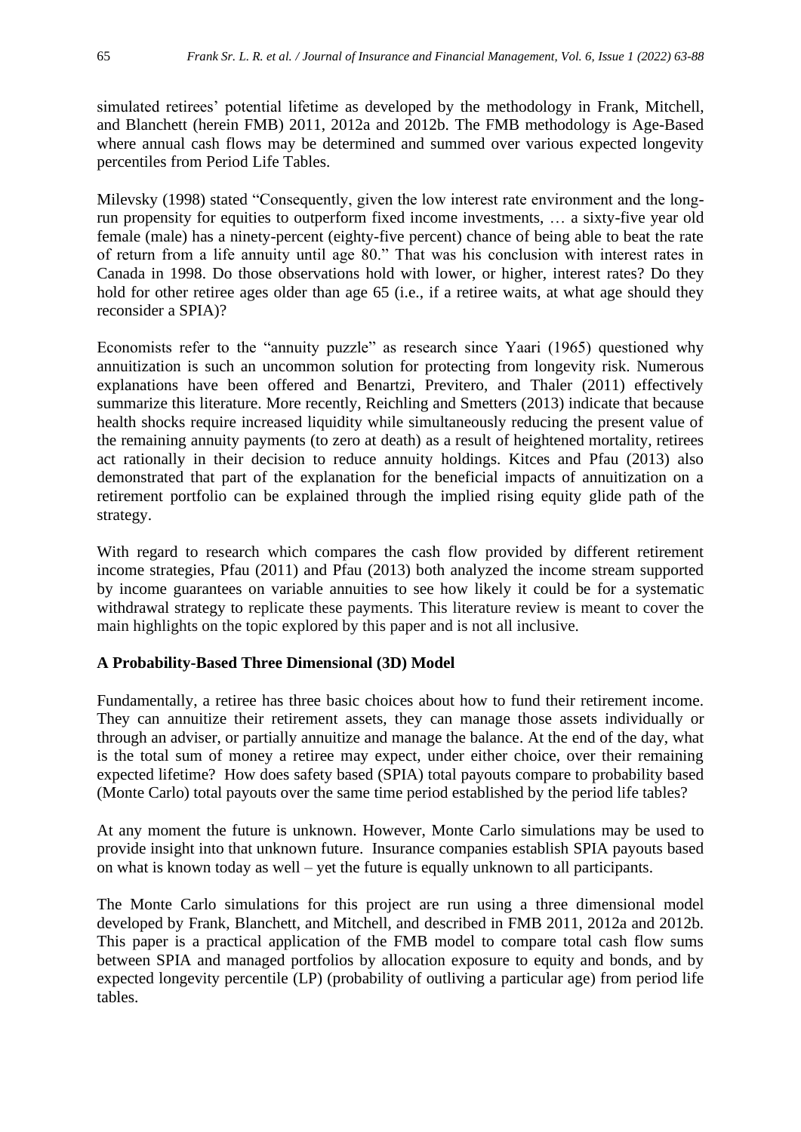simulated retirees' potential lifetime as developed by the methodology in Frank, Mitchell, and Blanchett (herein FMB) 2011, 2012a and 2012b. The FMB methodology is Age-Based where annual cash flows may be determined and summed over various expected longevity percentiles from Period Life Tables.

Milevsky (1998) stated "Consequently, given the low interest rate environment and the longrun propensity for equities to outperform fixed income investments, … a sixty-five year old female (male) has a ninety-percent (eighty-five percent) chance of being able to beat the rate of return from a life annuity until age 80." That was his conclusion with interest rates in Canada in 1998. Do those observations hold with lower, or higher, interest rates? Do they hold for other retiree ages older than age 65 (i.e., if a retiree waits, at what age should they reconsider a SPIA)?

Economists refer to the "annuity puzzle" as research since Yaari (1965) questioned why annuitization is such an uncommon solution for protecting from longevity risk. Numerous explanations have been offered and Benartzi, Previtero, and Thaler (2011) effectively summarize this literature. More recently, Reichling and Smetters (2013) indicate that because health shocks require increased liquidity while simultaneously reducing the present value of the remaining annuity payments (to zero at death) as a result of heightened mortality, retirees act rationally in their decision to reduce annuity holdings. Kitces and Pfau (2013) also demonstrated that part of the explanation for the beneficial impacts of annuitization on a retirement portfolio can be explained through the implied rising equity glide path of the strategy.

With regard to research which compares the cash flow provided by different retirement income strategies, Pfau (2011) and Pfau (2013) both analyzed the income stream supported by income guarantees on variable annuities to see how likely it could be for a systematic withdrawal strategy to replicate these payments. This literature review is meant to cover the main highlights on the topic explored by this paper and is not all inclusive.

#### **A Probability-Based Three Dimensional (3D) Model**

Fundamentally, a retiree has three basic choices about how to fund their retirement income. They can annuitize their retirement assets, they can manage those assets individually or through an adviser, or partially annuitize and manage the balance. At the end of the day, what is the total sum of money a retiree may expect, under either choice, over their remaining expected lifetime? How does safety based (SPIA) total payouts compare to probability based (Monte Carlo) total payouts over the same time period established by the period life tables?

At any moment the future is unknown. However, Monte Carlo simulations may be used to provide insight into that unknown future. Insurance companies establish SPIA payouts based on what is known today as well – yet the future is equally unknown to all participants.

The Monte Carlo simulations for this project are run using a three dimensional model developed by Frank, Blanchett, and Mitchell, and described in FMB 2011, 2012a and 2012b. This paper is a practical application of the FMB model to compare total cash flow sums between SPIA and managed portfolios by allocation exposure to equity and bonds, and by expected longevity percentile (LP) (probability of outliving a particular age) from period life tables.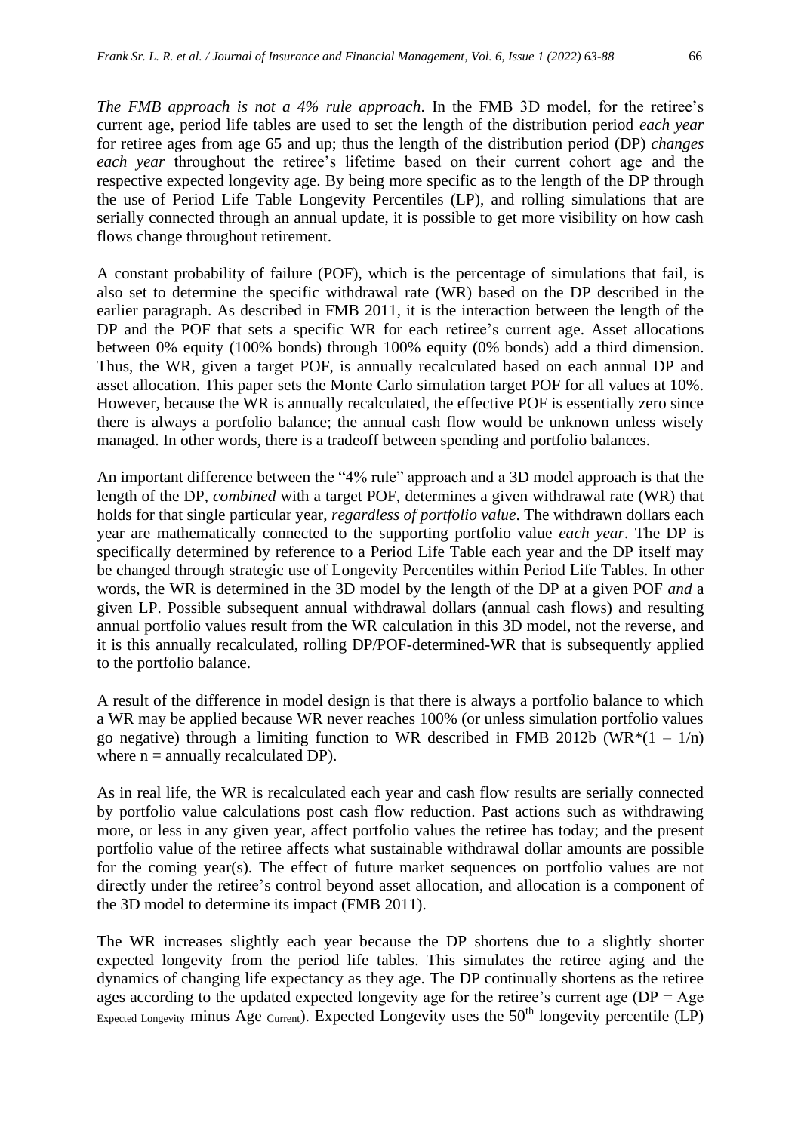flows change throughout retirement.

A constant probability of failure (POF), which is the percentage of simulations that fail, is also set to determine the specific withdrawal rate (WR) based on the DP described in the earlier paragraph. As described in FMB 2011, it is the interaction between the length of the DP and the POF that sets a specific WR for each retiree's current age. Asset allocations between 0% equity (100% bonds) through 100% equity (0% bonds) add a third dimension. Thus, the WR, given a target POF, is annually recalculated based on each annual DP and asset allocation. This paper sets the Monte Carlo simulation target POF for all values at 10%. However, because the WR is annually recalculated, the effective POF is essentially zero since there is always a portfolio balance; the annual cash flow would be unknown unless wisely managed. In other words, there is a tradeoff between spending and portfolio balances.

An important difference between the "4% rule" approach and a 3D model approach is that the length of the DP, *combined* with a target POF, determines a given withdrawal rate (WR) that holds for that single particular year, *regardless of portfolio value*. The withdrawn dollars each year are mathematically connected to the supporting portfolio value *each year*. The DP is specifically determined by reference to a Period Life Table each year and the DP itself may be changed through strategic use of Longevity Percentiles within Period Life Tables. In other words, the WR is determined in the 3D model by the length of the DP at a given POF *and* a given LP. Possible subsequent annual withdrawal dollars (annual cash flows) and resulting annual portfolio values result from the WR calculation in this 3D model, not the reverse, and it is this annually recalculated, rolling DP/POF-determined-WR that is subsequently applied to the portfolio balance.

A result of the difference in model design is that there is always a portfolio balance to which a WR may be applied because WR never reaches 100% (or unless simulation portfolio values go negative) through a limiting function to WR described in FMB 2012b (WR $*(1 - 1/n)$ ) where  $n =$  annually recalculated DP).

As in real life, the WR is recalculated each year and cash flow results are serially connected by portfolio value calculations post cash flow reduction. Past actions such as withdrawing more, or less in any given year, affect portfolio values the retiree has today; and the present portfolio value of the retiree affects what sustainable withdrawal dollar amounts are possible for the coming year(s). The effect of future market sequences on portfolio values are not directly under the retiree's control beyond asset allocation, and allocation is a component of the 3D model to determine its impact (FMB 2011).

The WR increases slightly each year because the DP shortens due to a slightly shorter expected longevity from the period life tables. This simulates the retiree aging and the dynamics of changing life expectancy as they age. The DP continually shortens as the retiree ages according to the updated expected longevity age for the retiree's current age  $(DP = Age)$ Expected Longevity minus Age  $_{Current}$ ). Expected Longevity uses the  $50<sup>th</sup>$  longevity percentile (LP)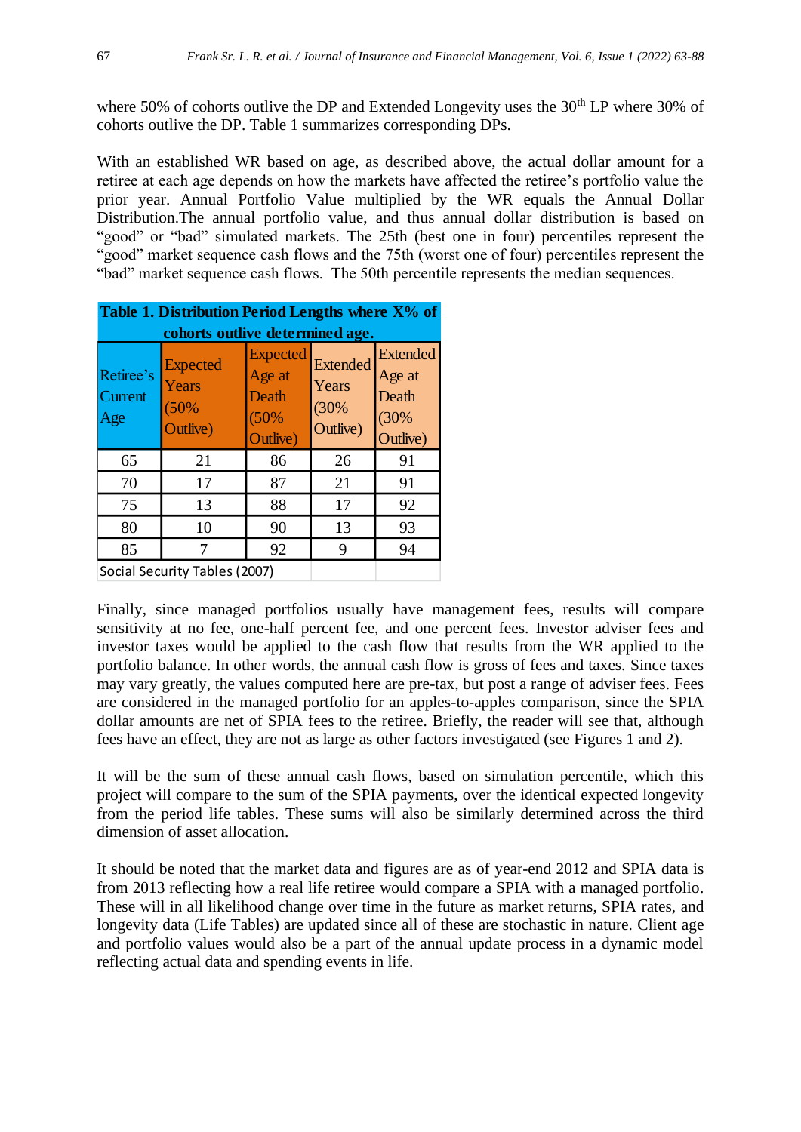where 50% of cohorts outlive the DP and Extended Longevity uses the 30<sup>th</sup> LP where 30% of cohorts outlive the DP. Table 1 summarizes corresponding DPs.

With an established WR based on age, as described above, the actual dollar amount for a retiree at each age depends on how the markets have affected the retiree's portfolio value the prior year. Annual Portfolio Value multiplied by the WR equals the Annual Dollar Distribution.The annual portfolio value, and thus annual dollar distribution is based on "good" or "bad" simulated markets. The 25th (best one in four) percentiles represent the "good" market sequence cash flows and the 75th (worst one of four) percentiles represent the "bad" market sequence cash flows. The 50th percentile represents the median sequences.

| Table 1. Distribution Period Lengths where X% of |                                              |                                                        |                                              |                                                        |  |  |
|--------------------------------------------------|----------------------------------------------|--------------------------------------------------------|----------------------------------------------|--------------------------------------------------------|--|--|
| cohorts outlive determined age.                  |                                              |                                                        |                                              |                                                        |  |  |
| Retiree's<br><b>Current</b><br>Age               | <b>Expected</b><br>Years<br>(50%<br>Outlive) | <b>Expected</b><br>Age at<br>Death<br>(50%<br>Outlive) | <b>Extended</b><br>Years<br>(30%<br>Outlive) | <b>Extended</b><br>Age at<br>Death<br>(30%<br>Outlive) |  |  |
| 65                                               | 21                                           | 86                                                     | 26                                           | 91                                                     |  |  |
| 70                                               | 17                                           | 87                                                     | 21                                           | 91                                                     |  |  |
| 75                                               | 13                                           | 88                                                     | 17                                           | 92                                                     |  |  |
| 80                                               | 10                                           | 90                                                     | 13                                           | 93                                                     |  |  |
| 85                                               | 7                                            | 92                                                     | 9                                            | 94                                                     |  |  |
| Social Security Tables (2007)                    |                                              |                                                        |                                              |                                                        |  |  |

Finally, since managed portfolios usually have management fees, results will compare sensitivity at no fee, one-half percent fee, and one percent fees. Investor adviser fees and investor taxes would be applied to the cash flow that results from the WR applied to the portfolio balance. In other words, the annual cash flow is gross of fees and taxes. Since taxes may vary greatly, the values computed here are pre-tax, but post a range of adviser fees. Fees are considered in the managed portfolio for an apples-to-apples comparison, since the SPIA dollar amounts are net of SPIA fees to the retiree. Briefly, the reader will see that, although fees have an effect, they are not as large as other factors investigated (see Figures 1 and 2).

It will be the sum of these annual cash flows, based on simulation percentile, which this project will compare to the sum of the SPIA payments, over the identical expected longevity from the period life tables. These sums will also be similarly determined across the third dimension of asset allocation.

It should be noted that the market data and figures are as of year-end 2012 and SPIA data is from 2013 reflecting how a real life retiree would compare a SPIA with a managed portfolio. These will in all likelihood change over time in the future as market returns, SPIA rates, and longevity data (Life Tables) are updated since all of these are stochastic in nature. Client age and portfolio values would also be a part of the annual update process in a dynamic model reflecting actual data and spending events in life.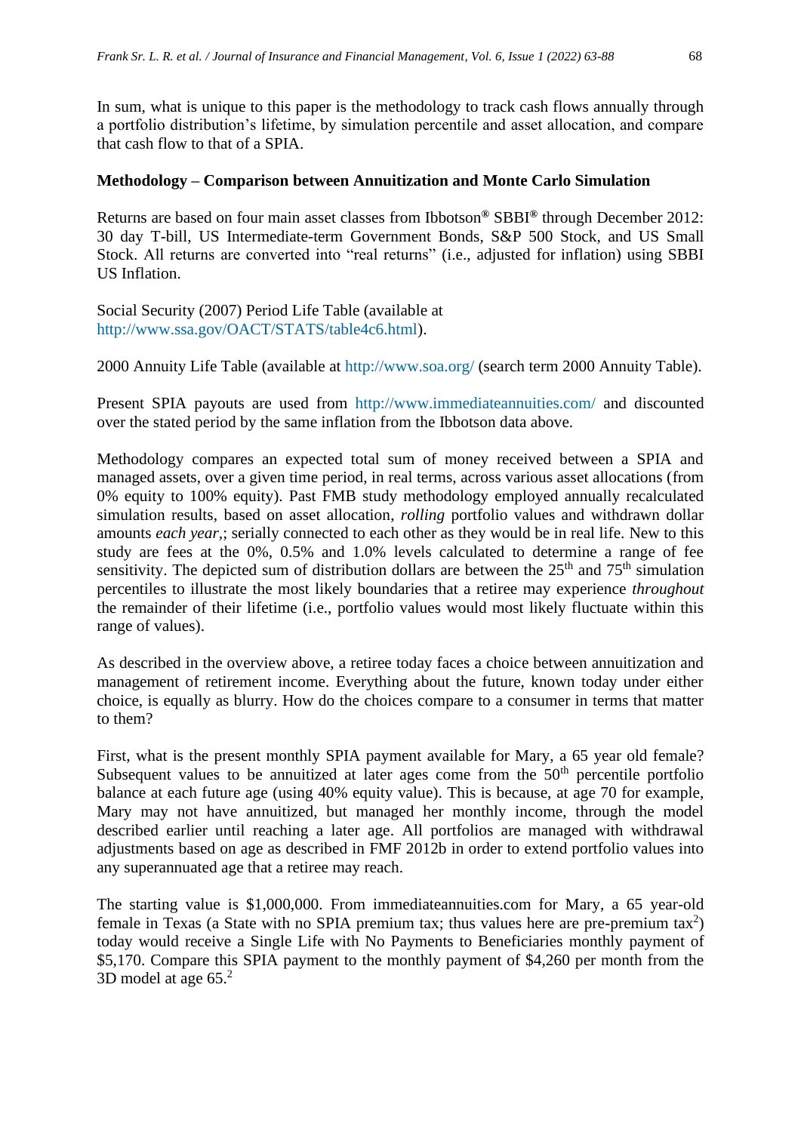In sum, what is unique to this paper is the methodology to track cash flows annually through a portfolio distribution's lifetime, by simulation percentile and asset allocation, and compare that cash flow to that of a SPIA.

#### **Methodology – Comparison between Annuitization and Monte Carlo Simulation**

Returns are based on four main asset classes from Ibbotson**®** SBBI**®** through December 2012: 30 day T-bill, US Intermediate-term Government Bonds, S&P 500 Stock, and US Small Stock. All returns are converted into "real returns" (i.e., adjusted for inflation) using SBBI US Inflation.

Social Security (2007) Period Life Table (available at [http://www.ssa.gov/OACT/STATS/table4c6.html\)](http://www.ssa.gov/OACT/STATS/table4c6.html).

2000 Annuity Life Table (available at<http://www.soa.org/> (search term 2000 Annuity Table).

Present SPIA payouts are used from <http://www.immediateannuities.com/> and discounted over the stated period by the same inflation from the Ibbotson data above.

Methodology compares an expected total sum of money received between a SPIA and managed assets, over a given time period, in real terms, across various asset allocations (from 0% equity to 100% equity). Past FMB study methodology employed annually recalculated simulation results, based on asset allocation, *rolling* portfolio values and withdrawn dollar amounts *each year,*; serially connected to each other as they would be in real life. New to this study are fees at the 0%, 0.5% and 1.0% levels calculated to determine a range of fee sensitivity. The depicted sum of distribution dollars are between the  $25<sup>th</sup>$  and  $75<sup>th</sup>$  simulation percentiles to illustrate the most likely boundaries that a retiree may experience *throughout* the remainder of their lifetime (i.e., portfolio values would most likely fluctuate within this range of values).

As described in the overview above, a retiree today faces a choice between annuitization and management of retirement income. Everything about the future, known today under either choice, is equally as blurry. How do the choices compare to a consumer in terms that matter to them?

First, what is the present monthly SPIA payment available for Mary, a 65 year old female? Subsequent values to be annuitized at later ages come from the  $50<sup>th</sup>$  percentile portfolio balance at each future age (using 40% equity value). This is because, at age 70 for example, Mary may not have annuitized, but managed her monthly income, through the model described earlier until reaching a later age. All portfolios are managed with withdrawal adjustments based on age as described in FMF 2012b in order to extend portfolio values into any superannuated age that a retiree may reach.

The starting value is \$1,000,000. From immediateannuities.com for Mary, a 65 year-old female in Texas (a State with no SPIA premium tax; thus values here are pre-premium tax<sup>2</sup>) today would receive a Single Life with No Payments to Beneficiaries monthly payment of \$5,170. Compare this SPIA payment to the monthly payment of \$4,260 per month from the 3D model at age 65. 2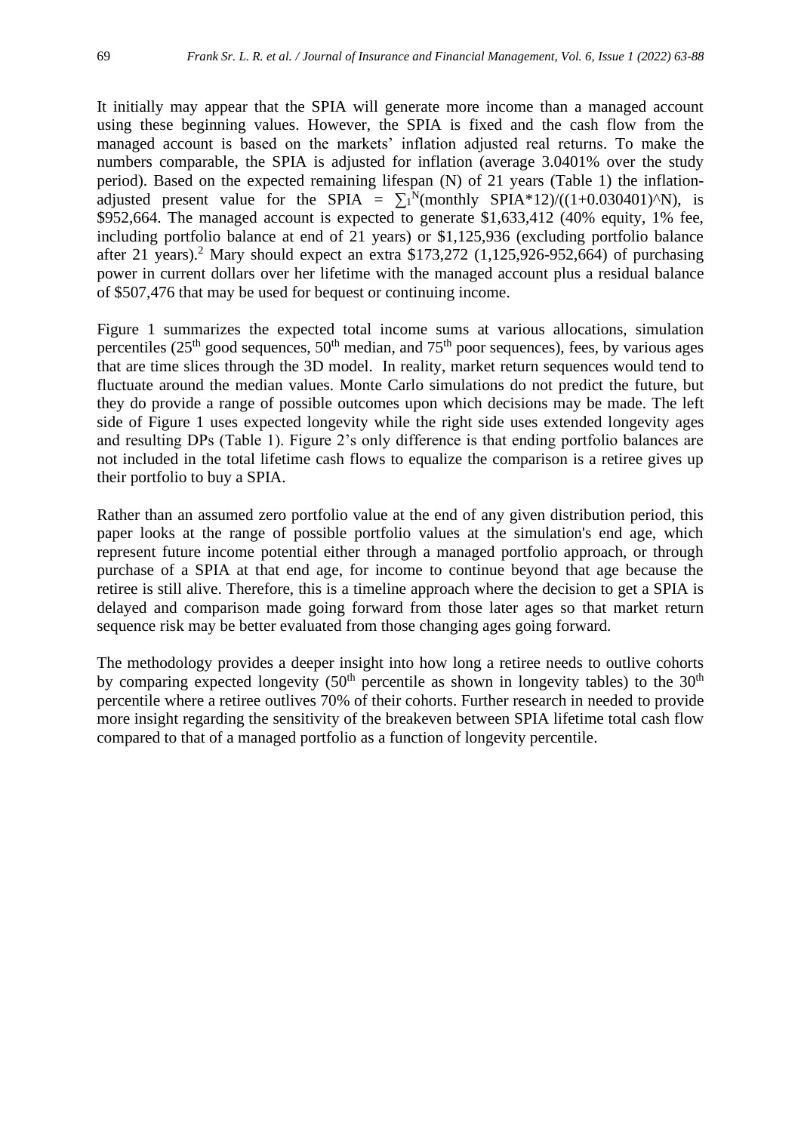It initially may appear that the SPIA will generate more income than a managed account using these beginning values. However, the SPIA is fixed and the cash flow from the managed account is based on the markets' inflation adjusted real returns. To make the numbers comparable, the SPIA is adjusted for inflation (average 3.0401% over the study period). Based on the expected remaining lifespan (N) of 21 years (Table 1) the inflationadjusted present value for the SPIA =  $\sum_{1}^{N}$ (monthly SPIA\*12)/((1+0.030401)^N), is \$952,664. The managed account is expected to generate \$1,633,412 (40% equity, 1% fee, including portfolio balance at end of 21 years) or \$1,125,936 (excluding portfolio balance after 21 years).<sup>2</sup> Mary should expect an extra \$173,272 (1,125,926-952,664) of purchasing power in current dollars over her lifetime with the managed account plus a residual balance of \$507,476 that may be used for bequest or continuing income.

Figure 1 summarizes the expected total income sums at various allocations, simulation percentiles ( $25<sup>th</sup>$  good sequences,  $50<sup>th</sup>$  median, and  $75<sup>th</sup>$  poor sequences), fees, by various ages that are time slices through the 3D model. In reality, market return sequences would tend to fluctuate around the median values. Monte Carlo simulations do not predict the future, but they do provide a range of possible outcomes upon which decisions may be made. The left side of Figure 1 uses expected longevity while the right side uses extended longevity ages and resulting DPs (Table 1). Figure 2's only difference is that ending portfolio balances are not included in the total lifetime cash flows to equalize the comparison is a retiree gives up their portfolio to buy a SPIA.

Rather than an assumed zero portfolio value at the end of any given distribution period, this paper looks at the range of possible portfolio values at the simulation's end age, which represent future income potential either through a managed portfolio approach, or through purchase of a SPIA at that end age, for income to continue beyond that age because the retiree is still alive. Therefore, this is a timeline approach where the decision to get a SPIA is delayed and comparison made going forward from those later ages so that market return sequence risk may be better evaluated from those changing ages going forward.

The methodology provides a deeper insight into how long a retiree needs to outlive cohorts by comparing expected longevity  $(50<sup>th</sup>$  percentile as shown in longevity tables) to the  $30<sup>th</sup>$ percentile where a retiree outlives 70% of their cohorts. Further research in needed to provide more insight regarding the sensitivity of the breakeven between SPIA lifetime total cash flow compared to that of a managed portfolio as a function of longevity percentile.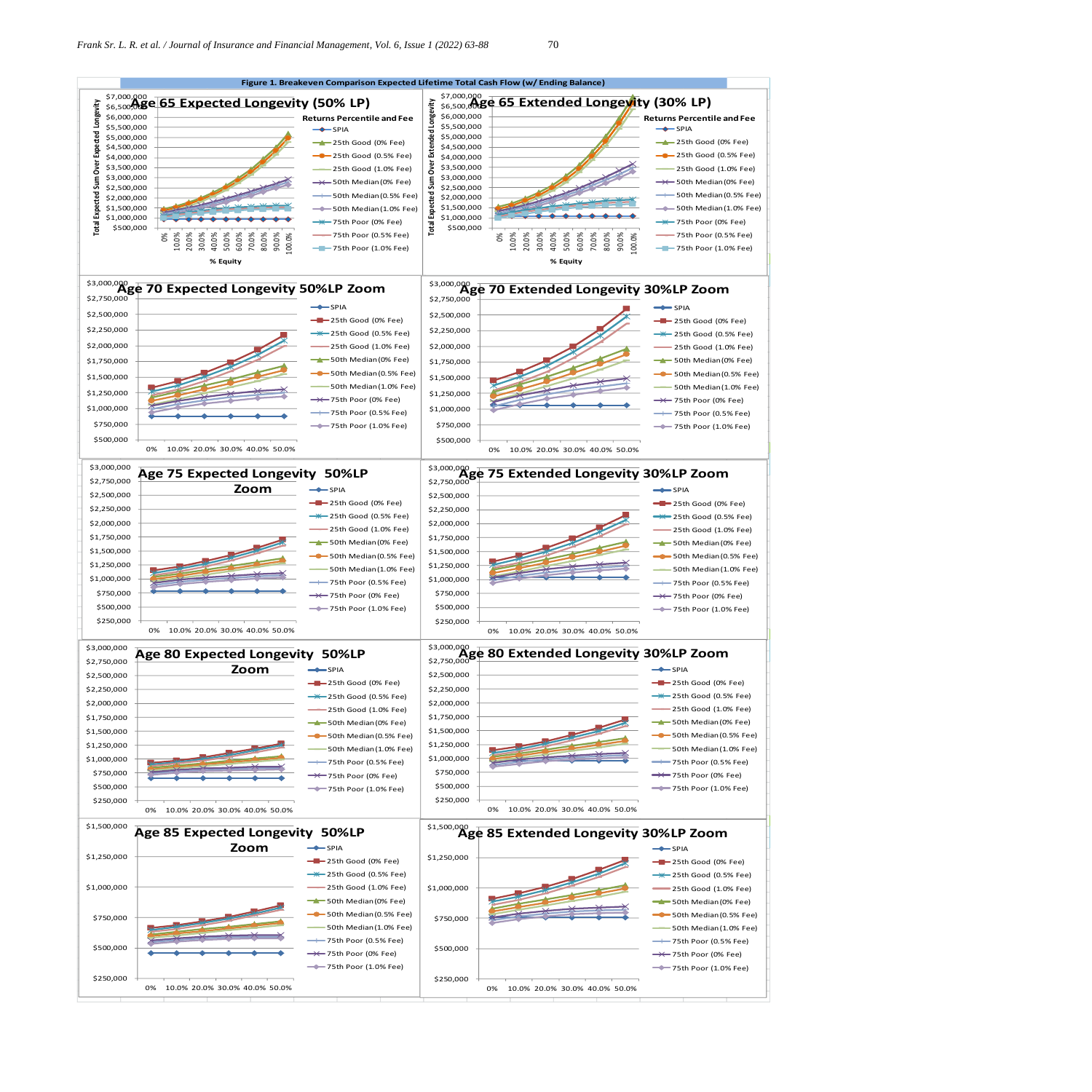

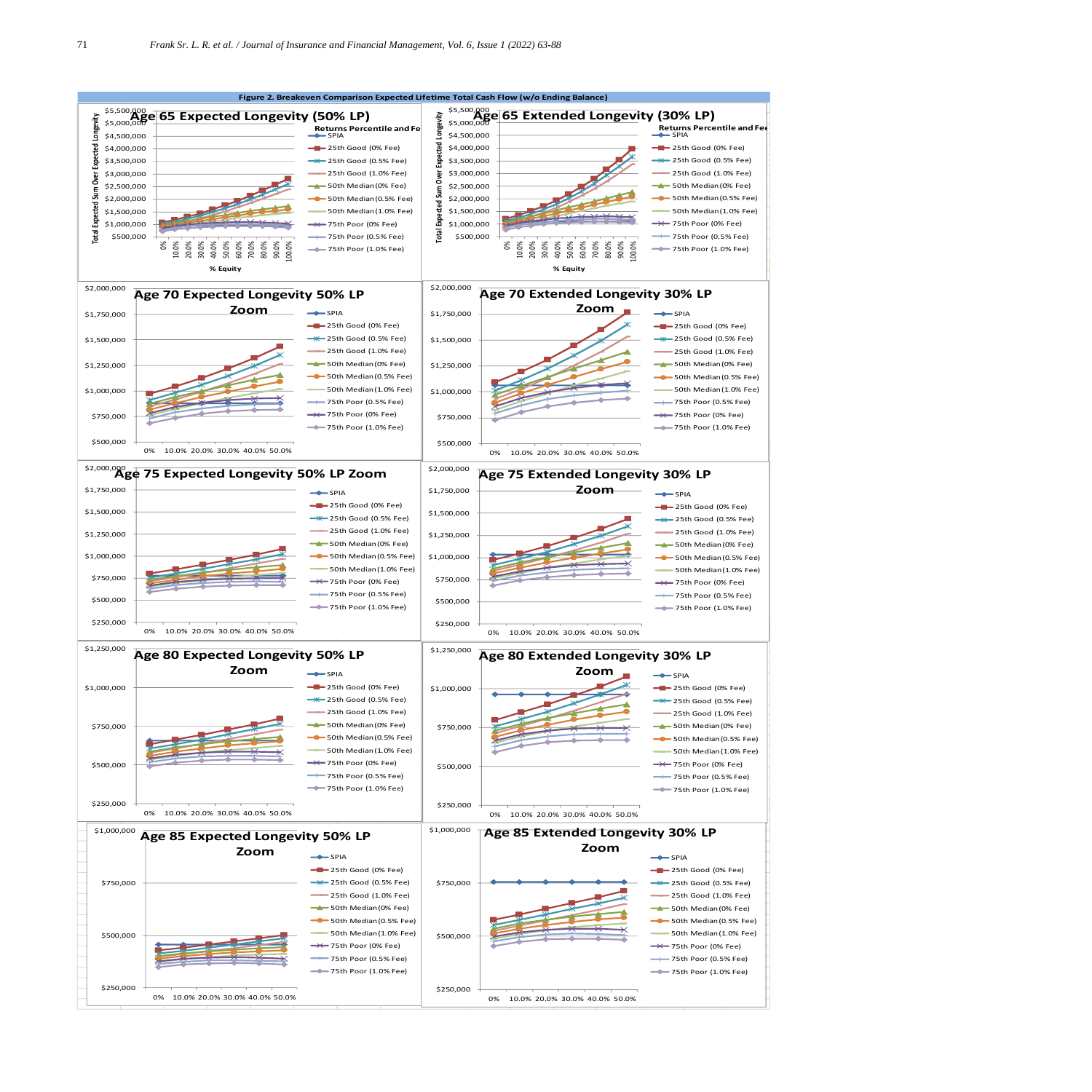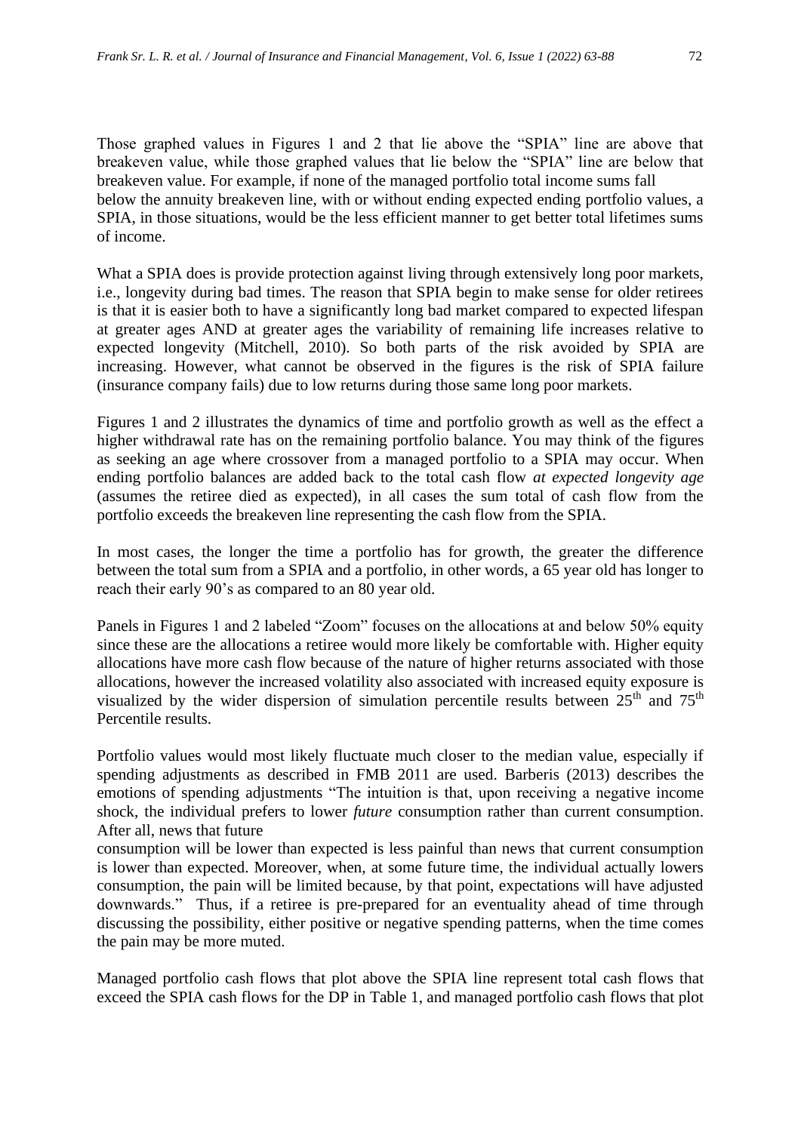Those graphed values in Figures 1 and 2 that lie above the "SPIA" line are above that breakeven value, while those graphed values that lie below the "SPIA" line are below that breakeven value. For example, if none of the managed portfolio total income sums fall below the annuity breakeven line, with or without ending expected ending portfolio values, a SPIA, in those situations, would be the less efficient manner to get better total lifetimes sums of income.

What a SPIA does is provide protection against living through extensively long poor markets, i.e., longevity during bad times. The reason that SPIA begin to make sense for older retirees is that it is easier both to have a significantly long bad market compared to expected lifespan at greater ages AND at greater ages the variability of remaining life increases relative to expected longevity (Mitchell, 2010). So both parts of the risk avoided by SPIA are increasing. However, what cannot be observed in the figures is the risk of SPIA failure (insurance company fails) due to low returns during those same long poor markets.

Figures 1 and 2 illustrates the dynamics of time and portfolio growth as well as the effect a higher withdrawal rate has on the remaining portfolio balance. You may think of the figures as seeking an age where crossover from a managed portfolio to a SPIA may occur. When ending portfolio balances are added back to the total cash flow *at expected longevity age* (assumes the retiree died as expected), in all cases the sum total of cash flow from the portfolio exceeds the breakeven line representing the cash flow from the SPIA.

In most cases, the longer the time a portfolio has for growth, the greater the difference between the total sum from a SPIA and a portfolio, in other words, a 65 year old has longer to reach their early 90's as compared to an 80 year old.

Panels in Figures 1 and 2 labeled "Zoom" focuses on the allocations at and below 50% equity since these are the allocations a retiree would more likely be comfortable with. Higher equity allocations have more cash flow because of the nature of higher returns associated with those allocations, however the increased volatility also associated with increased equity exposure is visualized by the wider dispersion of simulation percentile results between  $25<sup>th</sup>$  and  $75<sup>th</sup>$ Percentile results.

Portfolio values would most likely fluctuate much closer to the median value, especially if spending adjustments as described in FMB 2011 are used. Barberis (2013) describes the emotions of spending adjustments "The intuition is that, upon receiving a negative income shock, the individual prefers to lower *future* consumption rather than current consumption. After all, news that future

consumption will be lower than expected is less painful than news that current consumption is lower than expected. Moreover, when, at some future time, the individual actually lowers consumption, the pain will be limited because, by that point, expectations will have adjusted downwards." Thus, if a retiree is pre-prepared for an eventuality ahead of time through discussing the possibility, either positive or negative spending patterns, when the time comes the pain may be more muted.

Managed portfolio cash flows that plot above the SPIA line represent total cash flows that exceed the SPIA cash flows for the DP in Table 1, and managed portfolio cash flows that plot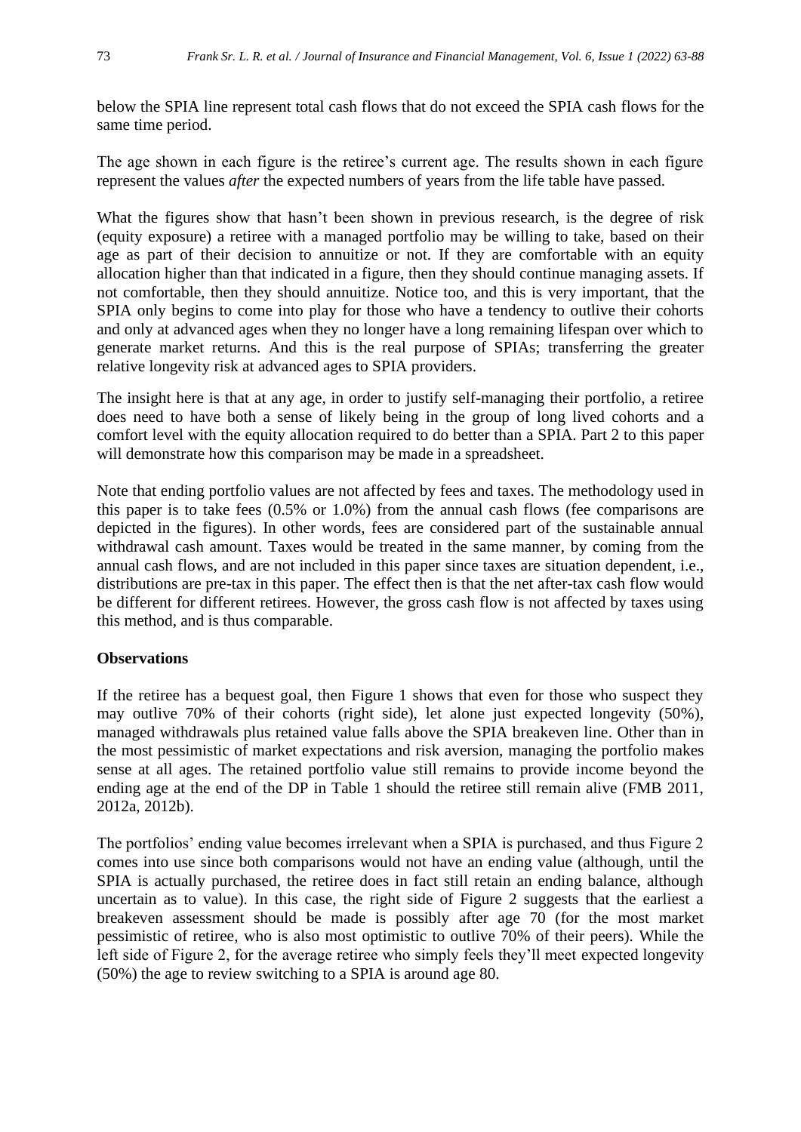below the SPIA line represent total cash flows that do not exceed the SPIA cash flows for the same time period.

The age shown in each figure is the retiree's current age. The results shown in each figure represent the values *after* the expected numbers of years from the life table have passed.

What the figures show that hasn't been shown in previous research, is the degree of risk (equity exposure) a retiree with a managed portfolio may be willing to take, based on their age as part of their decision to annuitize or not. If they are comfortable with an equity allocation higher than that indicated in a figure, then they should continue managing assets. If not comfortable, then they should annuitize. Notice too, and this is very important, that the SPIA only begins to come into play for those who have a tendency to outlive their cohorts and only at advanced ages when they no longer have a long remaining lifespan over which to generate market returns. And this is the real purpose of SPIAs; transferring the greater relative longevity risk at advanced ages to SPIA providers.

The insight here is that at any age, in order to justify self-managing their portfolio, a retiree does need to have both a sense of likely being in the group of long lived cohorts and a comfort level with the equity allocation required to do better than a SPIA. Part 2 to this paper will demonstrate how this comparison may be made in a spreadsheet.

Note that ending portfolio values are not affected by fees and taxes. The methodology used in this paper is to take fees (0.5% or 1.0%) from the annual cash flows (fee comparisons are depicted in the figures). In other words, fees are considered part of the sustainable annual withdrawal cash amount. Taxes would be treated in the same manner, by coming from the annual cash flows, and are not included in this paper since taxes are situation dependent, i.e., distributions are pre-tax in this paper. The effect then is that the net after-tax cash flow would be different for different retirees. However, the gross cash flow is not affected by taxes using this method, and is thus comparable.

#### **Observations**

If the retiree has a bequest goal, then Figure 1 shows that even for those who suspect they may outlive 70% of their cohorts (right side), let alone just expected longevity (50%), managed withdrawals plus retained value falls above the SPIA breakeven line. Other than in the most pessimistic of market expectations and risk aversion, managing the portfolio makes sense at all ages. The retained portfolio value still remains to provide income beyond the ending age at the end of the DP in Table 1 should the retiree still remain alive (FMB 2011, 2012a, 2012b).

The portfolios' ending value becomes irrelevant when a SPIA is purchased, and thus Figure 2 comes into use since both comparisons would not have an ending value (although, until the SPIA is actually purchased, the retiree does in fact still retain an ending balance, although uncertain as to value). In this case, the right side of Figure 2 suggests that the earliest a breakeven assessment should be made is possibly after age 70 (for the most market pessimistic of retiree, who is also most optimistic to outlive 70% of their peers). While the left side of Figure 2, for the average retiree who simply feels they'll meet expected longevity (50%) the age to review switching to a SPIA is around age 80.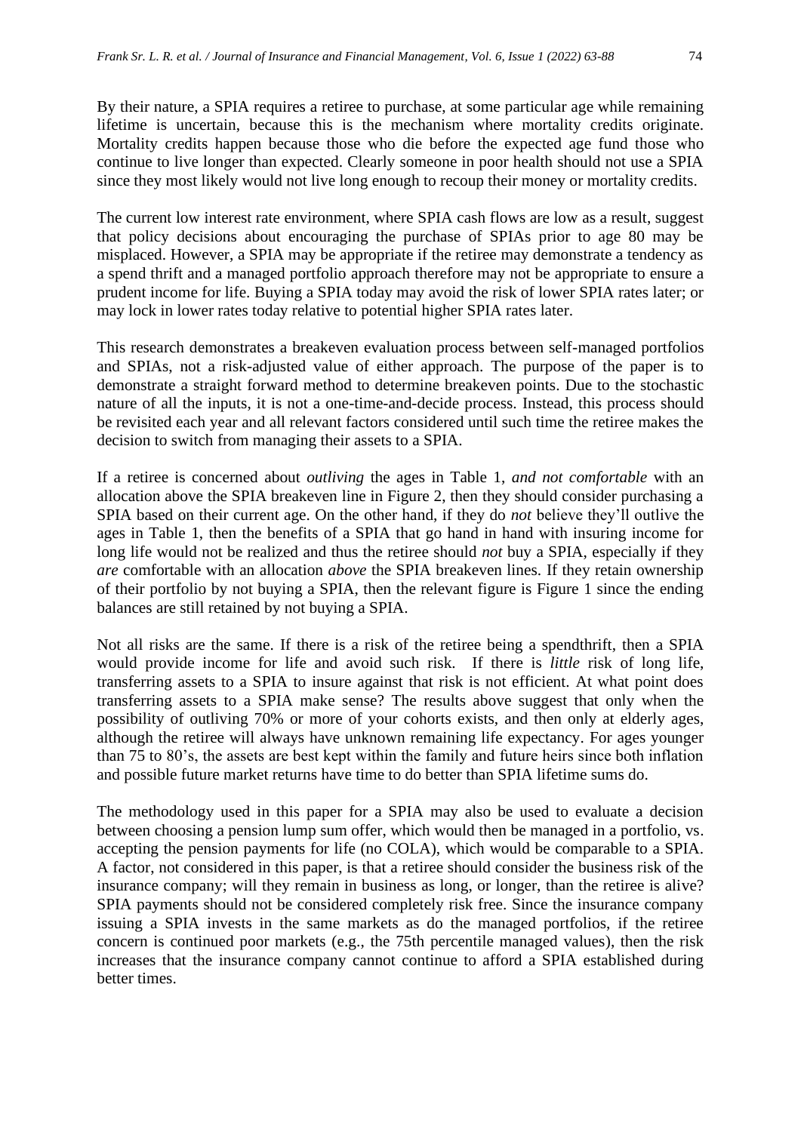By their nature, a SPIA requires a retiree to purchase, at some particular age while remaining lifetime is uncertain, because this is the mechanism where mortality credits originate. Mortality credits happen because those who die before the expected age fund those who continue to live longer than expected. Clearly someone in poor health should not use a SPIA since they most likely would not live long enough to recoup their money or mortality credits.

The current low interest rate environment, where SPIA cash flows are low as a result, suggest that policy decisions about encouraging the purchase of SPIAs prior to age 80 may be misplaced. However, a SPIA may be appropriate if the retiree may demonstrate a tendency as a spend thrift and a managed portfolio approach therefore may not be appropriate to ensure a prudent income for life. Buying a SPIA today may avoid the risk of lower SPIA rates later; or may lock in lower rates today relative to potential higher SPIA rates later.

This research demonstrates a breakeven evaluation process between self-managed portfolios and SPIAs, not a risk-adjusted value of either approach. The purpose of the paper is to demonstrate a straight forward method to determine breakeven points. Due to the stochastic nature of all the inputs, it is not a one-time-and-decide process. Instead, this process should be revisited each year and all relevant factors considered until such time the retiree makes the decision to switch from managing their assets to a SPIA.

If a retiree is concerned about *outliving* the ages in Table 1, *and not comfortable* with an allocation above the SPIA breakeven line in Figure 2, then they should consider purchasing a SPIA based on their current age. On the other hand, if they do *not* believe they'll outlive the ages in Table 1, then the benefits of a SPIA that go hand in hand with insuring income for long life would not be realized and thus the retiree should *not* buy a SPIA, especially if they *are* comfortable with an allocation *above* the SPIA breakeven lines. If they retain ownership of their portfolio by not buying a SPIA, then the relevant figure is Figure 1 since the ending balances are still retained by not buying a SPIA.

Not all risks are the same. If there is a risk of the retiree being a spendthrift, then a SPIA would provide income for life and avoid such risk. If there is *little* risk of long life, transferring assets to a SPIA to insure against that risk is not efficient. At what point does transferring assets to a SPIA make sense? The results above suggest that only when the possibility of outliving 70% or more of your cohorts exists, and then only at elderly ages, although the retiree will always have unknown remaining life expectancy. For ages younger than 75 to 80's, the assets are best kept within the family and future heirs since both inflation and possible future market returns have time to do better than SPIA lifetime sums do.

The methodology used in this paper for a SPIA may also be used to evaluate a decision between choosing a pension lump sum offer, which would then be managed in a portfolio, vs. accepting the pension payments for life (no COLA), which would be comparable to a SPIA. A factor, not considered in this paper, is that a retiree should consider the business risk of the insurance company; will they remain in business as long, or longer, than the retiree is alive? SPIA payments should not be considered completely risk free. Since the insurance company issuing a SPIA invests in the same markets as do the managed portfolios, if the retiree concern is continued poor markets (e.g., the 75th percentile managed values), then the risk increases that the insurance company cannot continue to afford a SPIA established during better times.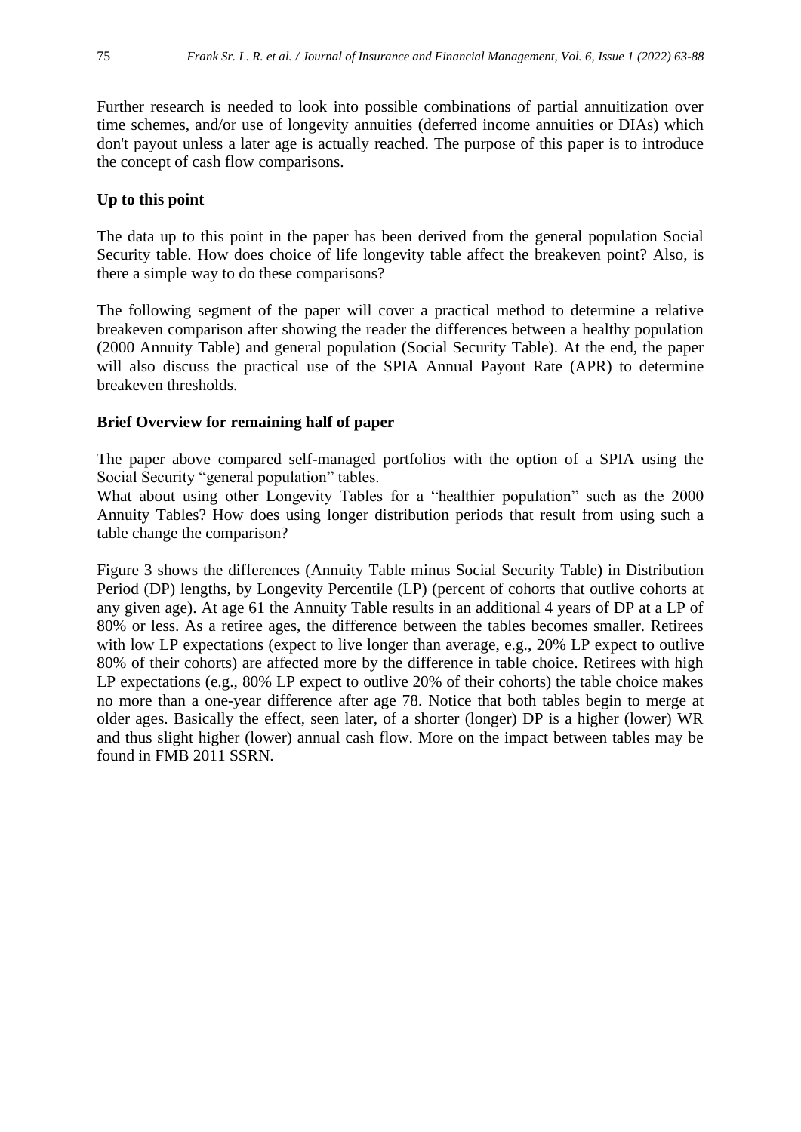Further research is needed to look into possible combinations of partial annuitization over time schemes, and/or use of longevity annuities (deferred income annuities or DIAs) which don't payout unless a later age is actually reached. The purpose of this paper is to introduce the concept of cash flow comparisons.

#### **Up to this point**

The data up to this point in the paper has been derived from the general population Social Security table. How does choice of life longevity table affect the breakeven point? Also, is there a simple way to do these comparisons?

The following segment of the paper will cover a practical method to determine a relative breakeven comparison after showing the reader the differences between a healthy population (2000 Annuity Table) and general population (Social Security Table). At the end, the paper will also discuss the practical use of the SPIA Annual Payout Rate (APR) to determine breakeven thresholds.

#### **Brief Overview for remaining half of paper**

The paper above compared self-managed portfolios with the option of a SPIA using the Social Security "general population" tables.

What about using other Longevity Tables for a "healthier population" such as the 2000 Annuity Tables? How does using longer distribution periods that result from using such a table change the comparison?

Figure 3 shows the differences (Annuity Table minus Social Security Table) in Distribution Period (DP) lengths, by Longevity Percentile (LP) (percent of cohorts that outlive cohorts at any given age). At age 61 the Annuity Table results in an additional 4 years of DP at a LP of 80% or less. As a retiree ages, the difference between the tables becomes smaller. Retirees with low LP expectations (expect to live longer than average, e.g., 20% LP expect to outlive 80% of their cohorts) are affected more by the difference in table choice. Retirees with high LP expectations (e.g., 80% LP expect to outlive 20% of their cohorts) the table choice makes no more than a one-year difference after age 78. Notice that both tables begin to merge at older ages. Basically the effect, seen later, of a shorter (longer) DP is a higher (lower) WR and thus slight higher (lower) annual cash flow. More on the impact between tables may be found in FMB 2011 SSRN.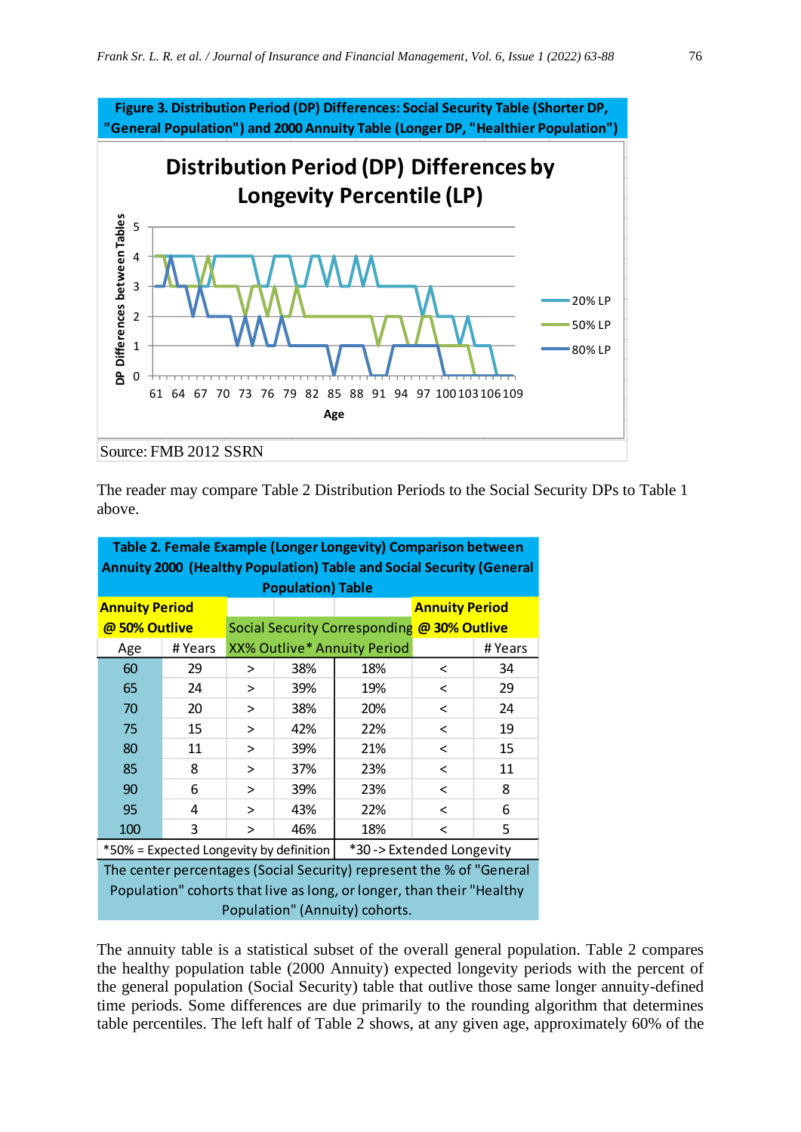

The reader may compare Table 2 Distribution Periods to the Social Security DPs to Table 1 above.

| Table 2. Female Example (Longer Longevity) Comparison between         |         |                                             |     |                                    |                       |         |
|-----------------------------------------------------------------------|---------|---------------------------------------------|-----|------------------------------------|-----------------------|---------|
| Annuity 2000 (Healthy Population) Table and Social Security (General  |         |                                             |     |                                    |                       |         |
| <b>Population) Table</b>                                              |         |                                             |     |                                    |                       |         |
| <b>Annuity Period</b>                                                 |         |                                             |     |                                    | <b>Annuity Period</b> |         |
| @ 50% Outlive                                                         |         | Social Security Corresponding @ 30% Outlive |     |                                    |                       |         |
| Age                                                                   | # Years |                                             |     | <b>XX% Outlive* Annuity Period</b> |                       | # Years |
| 60                                                                    | 29      | >                                           | 38% | 18%                                | <                     | 34      |
| 65                                                                    | 24      | $\geq$                                      | 39% | 19%                                | $\,<\,$               | 29      |
| 70                                                                    | 20      | $\geq$                                      | 38% | 20%                                | $\,<\,$               | 24      |
| 75                                                                    | 15      | $\geq$                                      | 42% | 22%                                | $\,<\,$               | 19      |
| 80                                                                    | 11      | >                                           | 39% | 21%                                | $\,<\,$               | 15      |
| 85                                                                    | 8       | >                                           | 37% | 23%                                | $\,<\,$               | 11      |
| 90                                                                    | 6       | $\geq$                                      | 39% | 23%                                | $\,<\,$               | 8       |
| 95                                                                    | 4       | $\geq$                                      | 43% | 22%                                | $\,<\,$               | 6       |
| 100                                                                   | 3       | $\geq$                                      | 46% | 18%                                | $\,<\,$               | 5       |
| *30 -> Extended Longevity<br>*50% = Expected Longevity by definition  |         |                                             |     |                                    |                       |         |
| The center percentages (Social Security) represent the % of "General  |         |                                             |     |                                    |                       |         |
| Population" cohorts that live as long, or longer, than their "Healthy |         |                                             |     |                                    |                       |         |

Population" (Annuity) cohorts.

The annuity table is a statistical subset of the overall general population. Table 2 compares the healthy population table (2000 Annuity) expected longevity periods with the percent of the general population (Social Security) table that outlive those same longer annuity-defined time periods. Some differences are due primarily to the rounding algorithm that determines table percentiles. The left half of Table 2 shows, at any given age, approximately 60% of the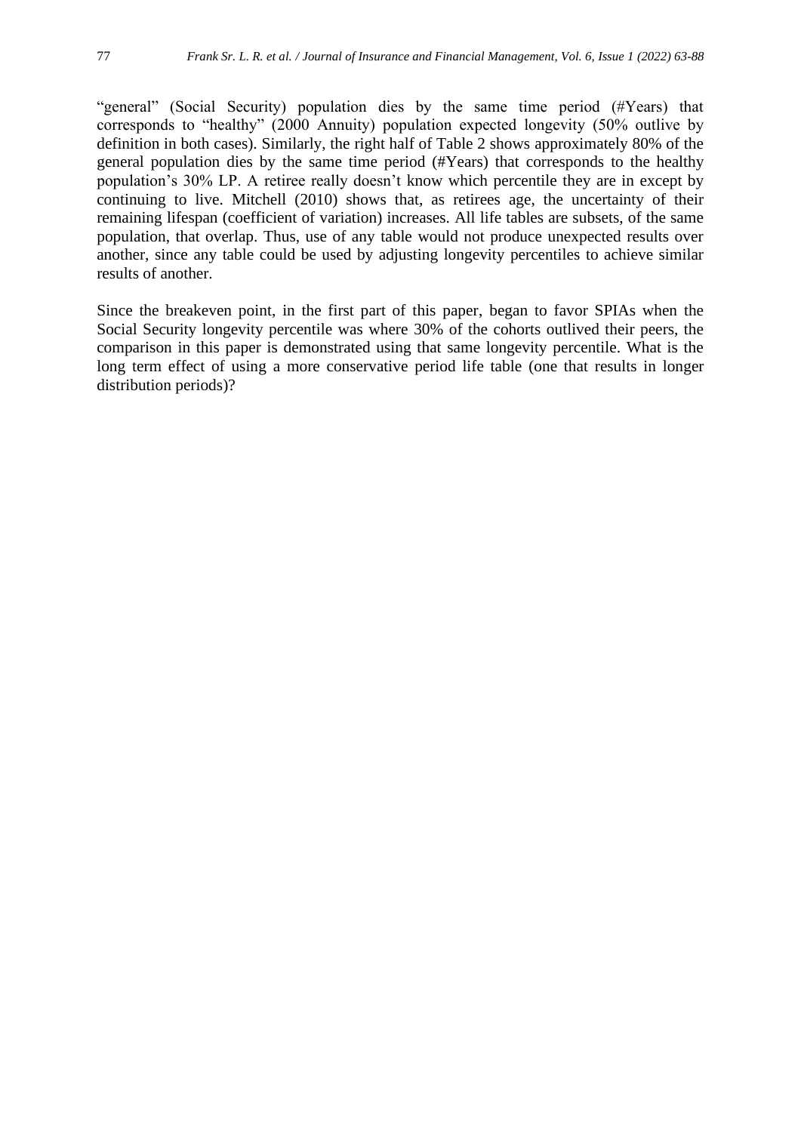"general" (Social Security) population dies by the same time period (#Years) that corresponds to "healthy" (2000 Annuity) population expected longevity (50% outlive by definition in both cases). Similarly, the right half of Table 2 shows approximately 80% of the general population dies by the same time period (#Years) that corresponds to the healthy population's 30% LP. A retiree really doesn't know which percentile they are in except by continuing to live. Mitchell (2010) shows that, as retirees age, the uncertainty of their remaining lifespan (coefficient of variation) increases. All life tables are subsets, of the same population, that overlap. Thus, use of any table would not produce unexpected results over another, since any table could be used by adjusting longevity percentiles to achieve similar results of another.

Since the breakeven point, in the first part of this paper, began to favor SPIAs when the Social Security longevity percentile was where 30% of the cohorts outlived their peers, the comparison in this paper is demonstrated using that same longevity percentile. What is the long term effect of using a more conservative period life table (one that results in longer distribution periods)?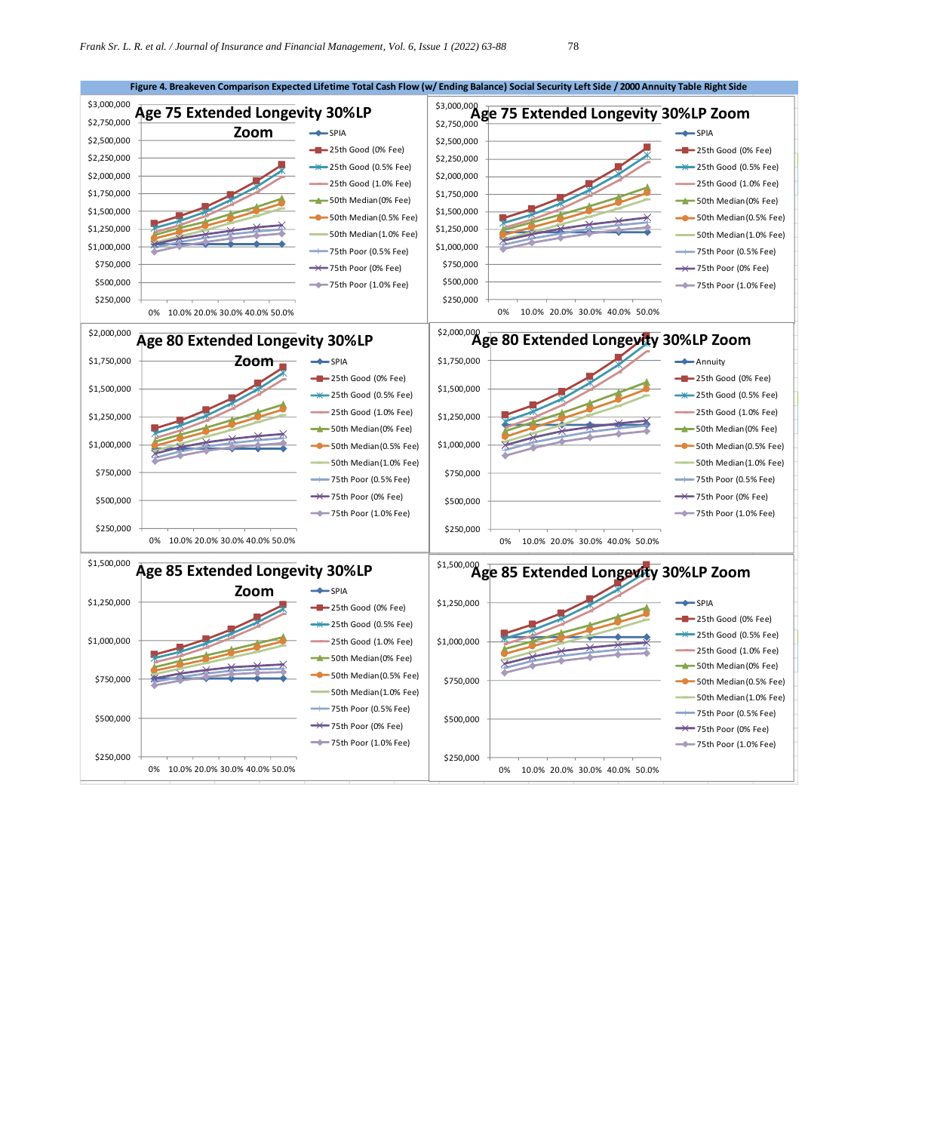

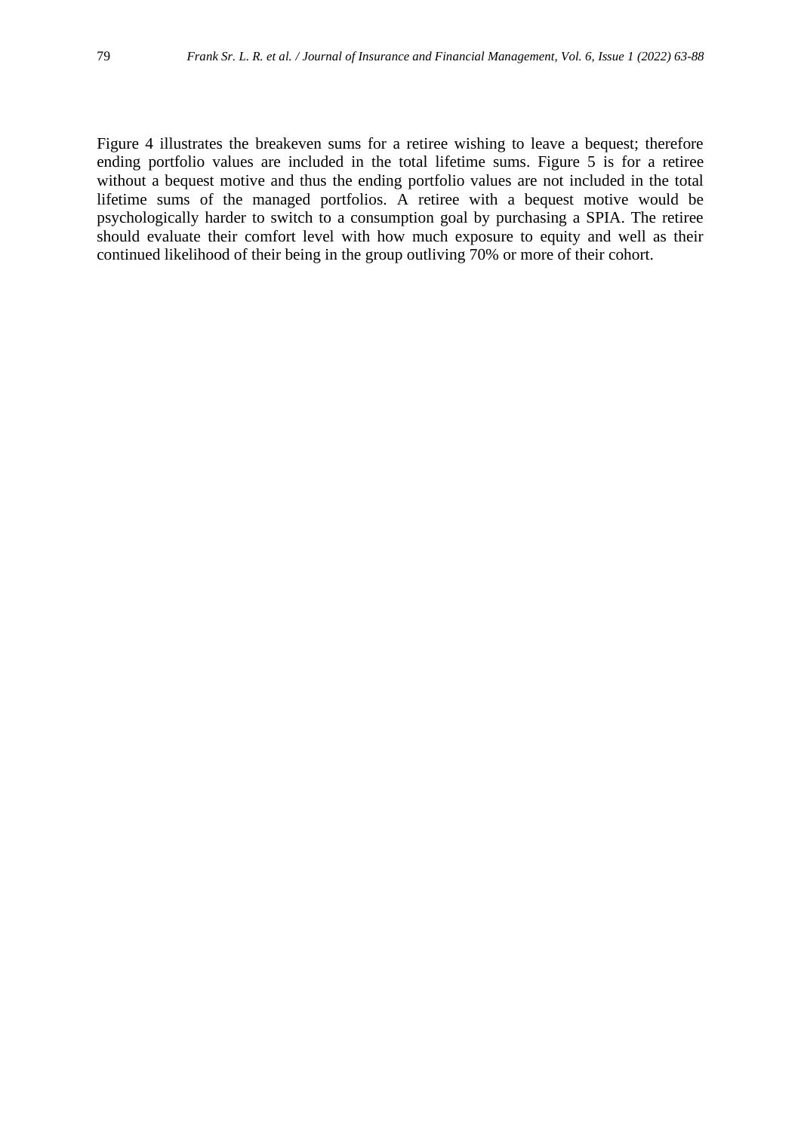Figure 4 illustrates the breakeven sums for a retiree wishing to leave a bequest; therefore ending portfolio values are included in the total lifetime sums. Figure 5 is for a retiree without a bequest motive and thus the ending portfolio values are not included in the total lifetime sums of the managed portfolios. A retiree with a bequest motive would be psychologically harder to switch to a consumption goal by purchasing a SPIA. The retiree should evaluate their comfort level with how much exposure to equity and well as their continued likelihood of their being in the group outliving 70% or more of their cohort.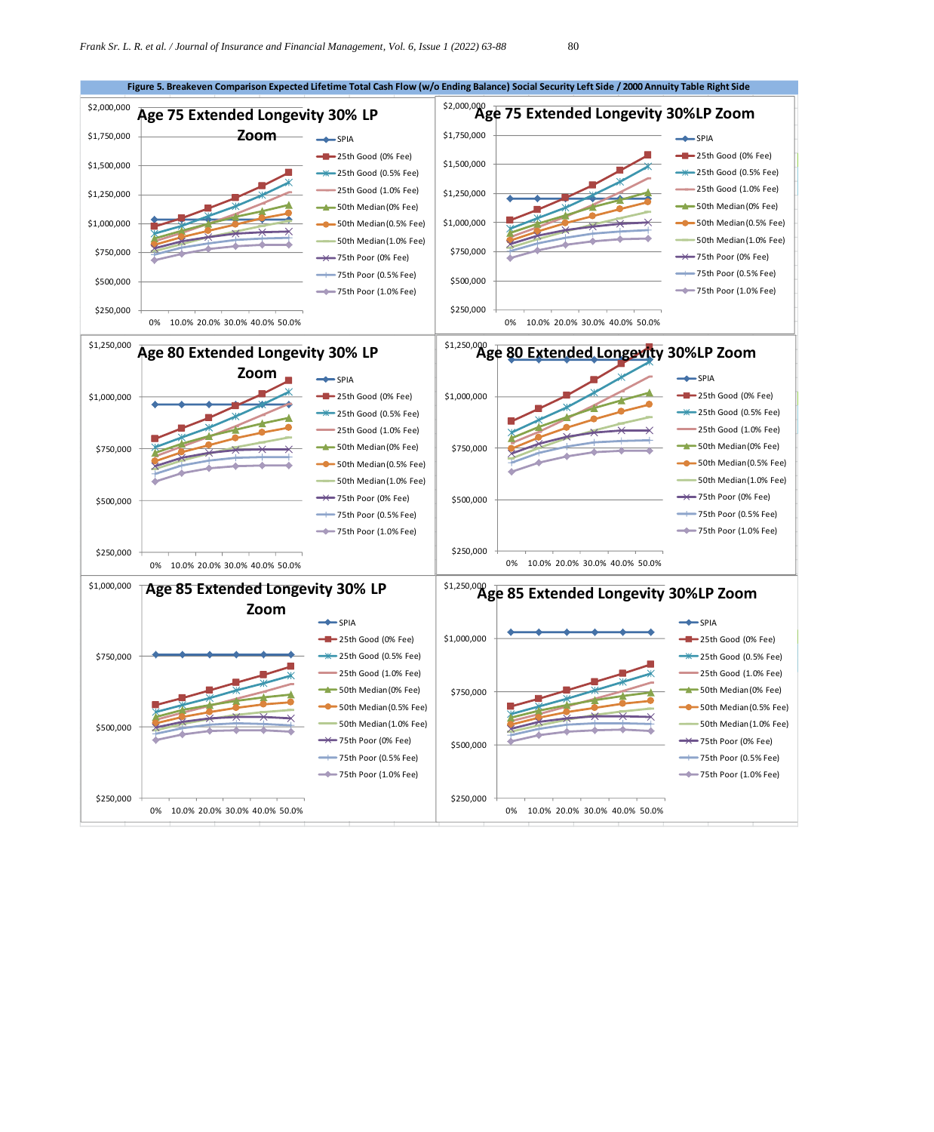$\frac{Zoom}{\leftarrow}$   $\frac{1}{SPIA}$ 

**Age 75 Extended Longevity 30% LP** 

\$250,000

\$500,000

\$750,000

\$1,000,000

\$1,250,000

\$1,500,000

\$1,750,000

\$2,000,000



0 % 10.0% 20.0% 30.0% 40.0% 50.0%



**Figure 5. Breakeven Comparison Expected Lifetime Total Cash Flow (w/o Ending Balance) Social Security Left Side / 2000 Annuity Table Right Side**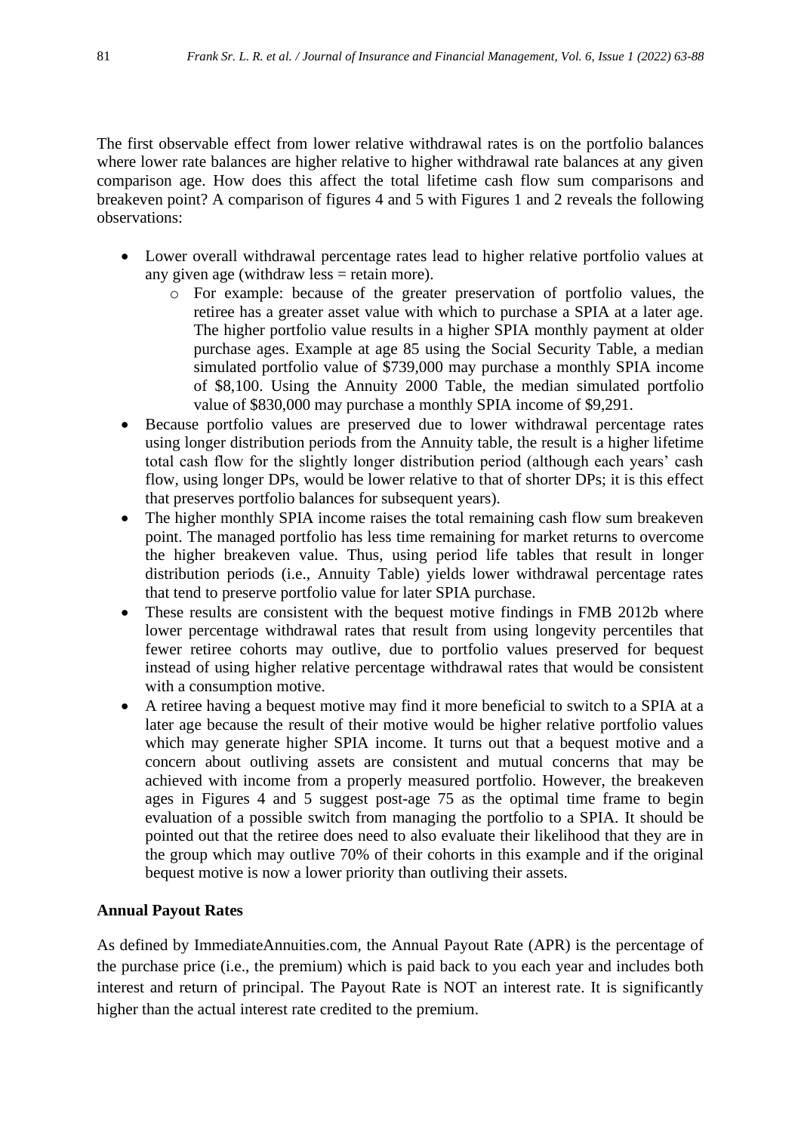The first observable effect from lower relative withdrawal rates is on the portfolio balances where lower rate balances are higher relative to higher withdrawal rate balances at any given comparison age. How does this affect the total lifetime cash flow sum comparisons and breakeven point? A comparison of figures 4 and 5 with Figures 1 and 2 reveals the following observations:

- Lower overall withdrawal percentage rates lead to higher relative portfolio values at any given age (withdraw less = retain more).
	- o For example: because of the greater preservation of portfolio values, the retiree has a greater asset value with which to purchase a SPIA at a later age. The higher portfolio value results in a higher SPIA monthly payment at older purchase ages. Example at age 85 using the Social Security Table, a median simulated portfolio value of \$739,000 may purchase a monthly SPIA income of \$8,100. Using the Annuity 2000 Table, the median simulated portfolio value of \$830,000 may purchase a monthly SPIA income of \$9,291.
- Because portfolio values are preserved due to lower withdrawal percentage rates using longer distribution periods from the Annuity table, the result is a higher lifetime total cash flow for the slightly longer distribution period (although each years' cash flow, using longer DPs, would be lower relative to that of shorter DPs; it is this effect that preserves portfolio balances for subsequent years).
- The higher monthly SPIA income raises the total remaining cash flow sum breakeven point. The managed portfolio has less time remaining for market returns to overcome the higher breakeven value. Thus, using period life tables that result in longer distribution periods (i.e., Annuity Table) yields lower withdrawal percentage rates that tend to preserve portfolio value for later SPIA purchase.
- These results are consistent with the bequest motive findings in FMB 2012b where lower percentage withdrawal rates that result from using longevity percentiles that fewer retiree cohorts may outlive, due to portfolio values preserved for bequest instead of using higher relative percentage withdrawal rates that would be consistent with a consumption motive.
- A retiree having a bequest motive may find it more beneficial to switch to a SPIA at a later age because the result of their motive would be higher relative portfolio values which may generate higher SPIA income. It turns out that a bequest motive and a concern about outliving assets are consistent and mutual concerns that may be achieved with income from a properly measured portfolio. However, the breakeven ages in Figures 4 and 5 suggest post-age 75 as the optimal time frame to begin evaluation of a possible switch from managing the portfolio to a SPIA. It should be pointed out that the retiree does need to also evaluate their likelihood that they are in the group which may outlive 70% of their cohorts in this example and if the original bequest motive is now a lower priority than outliving their assets.

#### **Annual Payout Rates**

As defined by ImmediateAnnuities.com, the Annual Payout Rate (APR) is the percentage of the purchase price (i.e., the premium) which is paid back to you each year and includes both interest and return of principal. The Payout Rate is NOT an interest rate. It is significantly higher than the actual interest rate credited to the premium.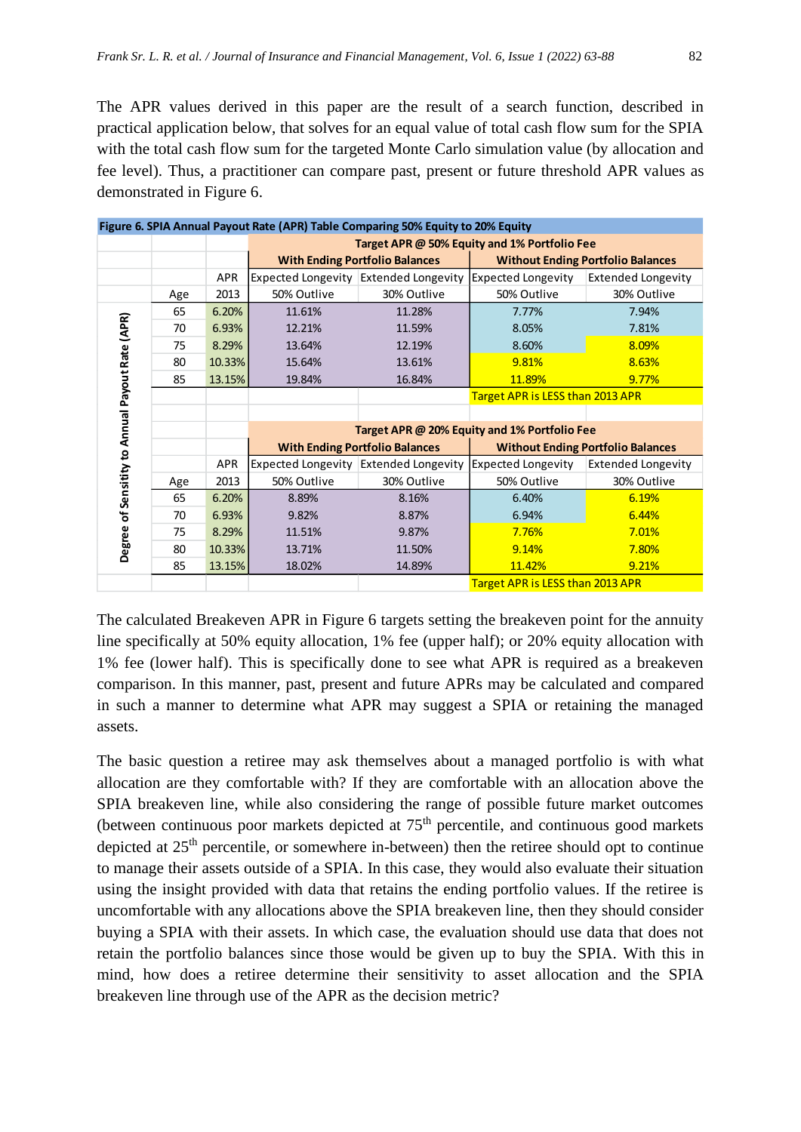The APR values derived in this paper are the result of a search function, described in practical application below, that solves for an equal value of total cash flow sum for the SPIA with the total cash flow sum for the targeted Monte Carlo simulation value (by allocation and fee level). Thus, a practitioner can compare past, present or future threshold APR values as demonstrated in Figure 6.

|                                                 |     |            |                                              | Figure 6. SPIA Annual Payout Rate (APR) Table Comparing 50% Equity to 20% Equity |                                          |                                              |  |
|-------------------------------------------------|-----|------------|----------------------------------------------|----------------------------------------------------------------------------------|------------------------------------------|----------------------------------------------|--|
|                                                 |     |            | Target APR @ 50% Equity and 1% Portfolio Fee |                                                                                  |                                          |                                              |  |
|                                                 |     |            |                                              | <b>With Ending Portfolio Balances</b>                                            | <b>Without Ending Portfolio Balances</b> |                                              |  |
|                                                 |     | <b>APR</b> |                                              | Expected Longevity Extended Longevity Expected Longevity                         |                                          | <b>Extended Longevity</b>                    |  |
|                                                 | Age | 2013       | 50% Outlive                                  | 30% Outlive                                                                      | 50% Outlive                              | 30% Outlive                                  |  |
|                                                 | 65  | 6.20%      | 11.61%                                       | 11.28%                                                                           | 7.77%                                    | 7.94%                                        |  |
|                                                 | 70  | 6.93%      | 12.21%                                       | 11.59%                                                                           | 8.05%                                    | 7.81%                                        |  |
|                                                 | 75  | 8.29%      | 13.64%                                       | 12.19%                                                                           | 8.60%                                    | 8.09%                                        |  |
|                                                 | 80  | 10.33%     | 15.64%                                       | 13.61%                                                                           | 9.81%                                    | 8.63%                                        |  |
|                                                 | 85  | 13.15%     | 19.84%                                       | 16.84%                                                                           | 11.89%                                   | 9.77%                                        |  |
|                                                 |     |            | Target APR is LESS than 2013 APR             |                                                                                  |                                          |                                              |  |
|                                                 |     |            |                                              |                                                                                  |                                          |                                              |  |
|                                                 |     |            |                                              |                                                                                  |                                          | Target APR @ 20% Equity and 1% Portfolio Fee |  |
|                                                 |     |            | <b>With Ending Portfolio Balances</b>        |                                                                                  | <b>Without Ending Portfolio Balances</b> |                                              |  |
|                                                 |     | <b>APR</b> |                                              | Expected Longevity Extended Longevity Expected Longevity                         |                                          | <b>Extended Longevity</b>                    |  |
|                                                 | Age | 2013       | 50% Outlive                                  | 30% Outlive                                                                      | 50% Outlive                              | 30% Outlive                                  |  |
|                                                 | 65  | 6.20%      | 8.89%                                        | 8.16%                                                                            | 6.40%                                    | 6.19%                                        |  |
|                                                 | 70  | 6.93%      | 9.82%                                        | 8.87%                                                                            | 6.94%                                    | 6.44%                                        |  |
|                                                 | 75  | 8.29%      | 11.51%                                       | 9.87%                                                                            | 7.76%                                    | 7.01%                                        |  |
| Degree of Sensitity to Annual Payout Rate (APR) | 80  | 10.33%     | 13.71%                                       | 11.50%                                                                           | 9.14%                                    | 7.80%                                        |  |
|                                                 | 85  | 13.15%     | 18.02%                                       | 14.89%                                                                           | 11.42%                                   | 9.21%                                        |  |
|                                                 |     |            |                                              |                                                                                  | Target APR is LESS than 2013 APR         |                                              |  |

The calculated Breakeven APR in Figure 6 targets setting the breakeven point for the annuity line specifically at 50% equity allocation, 1% fee (upper half); or 20% equity allocation with 1% fee (lower half). This is specifically done to see what APR is required as a breakeven comparison. In this manner, past, present and future APRs may be calculated and compared in such a manner to determine what APR may suggest a SPIA or retaining the managed assets.

The basic question a retiree may ask themselves about a managed portfolio is with what allocation are they comfortable with? If they are comfortable with an allocation above the SPIA breakeven line, while also considering the range of possible future market outcomes (between continuous poor markets depicted at  $75<sup>th</sup>$  percentile, and continuous good markets depicted at  $25<sup>th</sup>$  percentile, or somewhere in-between) then the retiree should opt to continue to manage their assets outside of a SPIA. In this case, they would also evaluate their situation using the insight provided with data that retains the ending portfolio values. If the retiree is uncomfortable with any allocations above the SPIA breakeven line, then they should consider buying a SPIA with their assets. In which case, the evaluation should use data that does not retain the portfolio balances since those would be given up to buy the SPIA. With this in mind, how does a retiree determine their sensitivity to asset allocation and the SPIA breakeven line through use of the APR as the decision metric?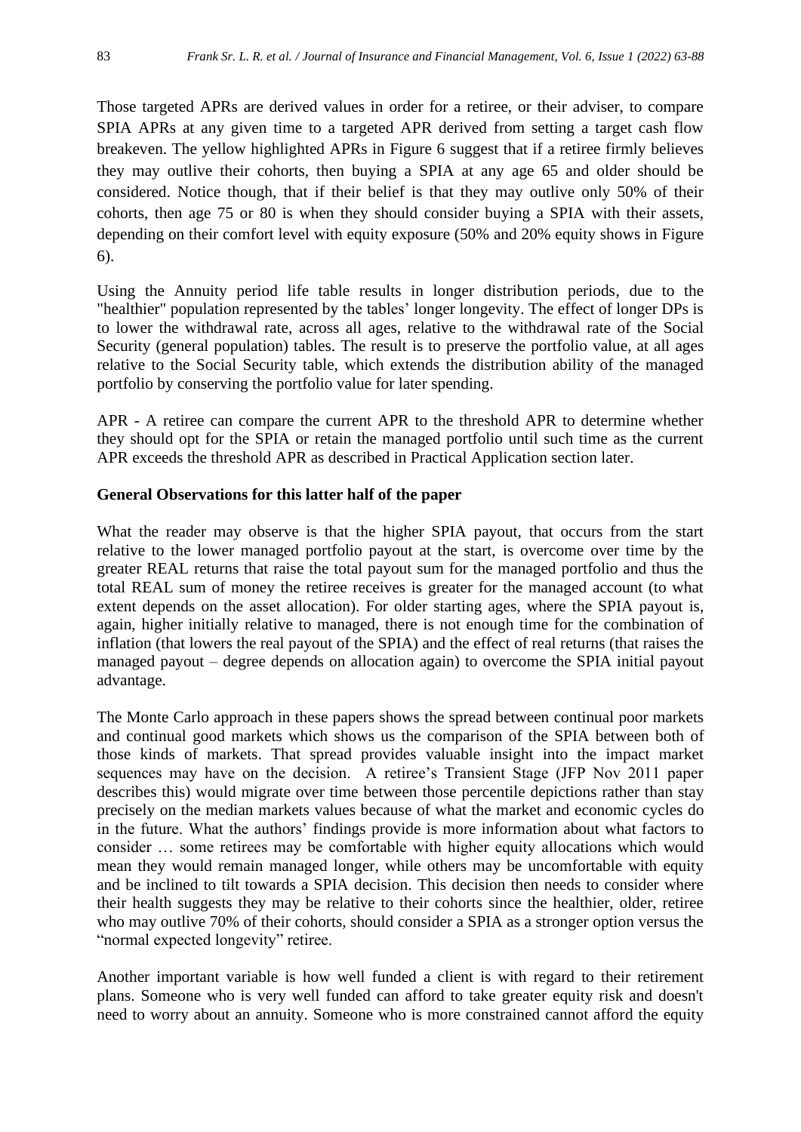Those targeted APRs are derived values in order for a retiree, or their adviser, to compare SPIA APRs at any given time to a targeted APR derived from setting a target cash flow breakeven. The yellow highlighted APRs in Figure 6 suggest that if a retiree firmly believes they may outlive their cohorts, then buying a SPIA at any age 65 and older should be considered. Notice though, that if their belief is that they may outlive only 50% of their cohorts, then age 75 or 80 is when they should consider buying a SPIA with their assets, depending on their comfort level with equity exposure (50% and 20% equity shows in Figure 6).

Using the Annuity period life table results in longer distribution periods, due to the "healthier" population represented by the tables' longer longevity. The effect of longer DPs is to lower the withdrawal rate, across all ages, relative to the withdrawal rate of the Social Security (general population) tables. The result is to preserve the portfolio value, at all ages relative to the Social Security table, which extends the distribution ability of the managed portfolio by conserving the portfolio value for later spending.

APR - A retiree can compare the current APR to the threshold APR to determine whether they should opt for the SPIA or retain the managed portfolio until such time as the current APR exceeds the threshold APR as described in Practical Application section later.

# **General Observations for this latter half of the paper**

What the reader may observe is that the higher SPIA payout, that occurs from the start relative to the lower managed portfolio payout at the start, is overcome over time by the greater REAL returns that raise the total payout sum for the managed portfolio and thus the total REAL sum of money the retiree receives is greater for the managed account (to what extent depends on the asset allocation). For older starting ages, where the SPIA payout is, again, higher initially relative to managed, there is not enough time for the combination of inflation (that lowers the real payout of the SPIA) and the effect of real returns (that raises the managed payout – degree depends on allocation again) to overcome the SPIA initial payout advantage.

The Monte Carlo approach in these papers shows the spread between continual poor markets and continual good markets which shows us the comparison of the SPIA between both of those kinds of markets. That spread provides valuable insight into the impact market sequences may have on the decision. A retiree's Transient Stage (JFP Nov 2011 paper describes this) would migrate over time between those percentile depictions rather than stay precisely on the median markets values because of what the market and economic cycles do in the future. What the authors' findings provide is more information about what factors to consider … some retirees may be comfortable with higher equity allocations which would mean they would remain managed longer, while others may be uncomfortable with equity and be inclined to tilt towards a SPIA decision. This decision then needs to consider where their health suggests they may be relative to their cohorts since the healthier, older, retiree who may outlive 70% of their cohorts, should consider a SPIA as a stronger option versus the "normal expected longevity" retiree.

Another important variable is how well funded a client is with regard to their retirement plans. Someone who is very well funded can afford to take greater equity risk and doesn't need to worry about an annuity. Someone who is more constrained cannot afford the equity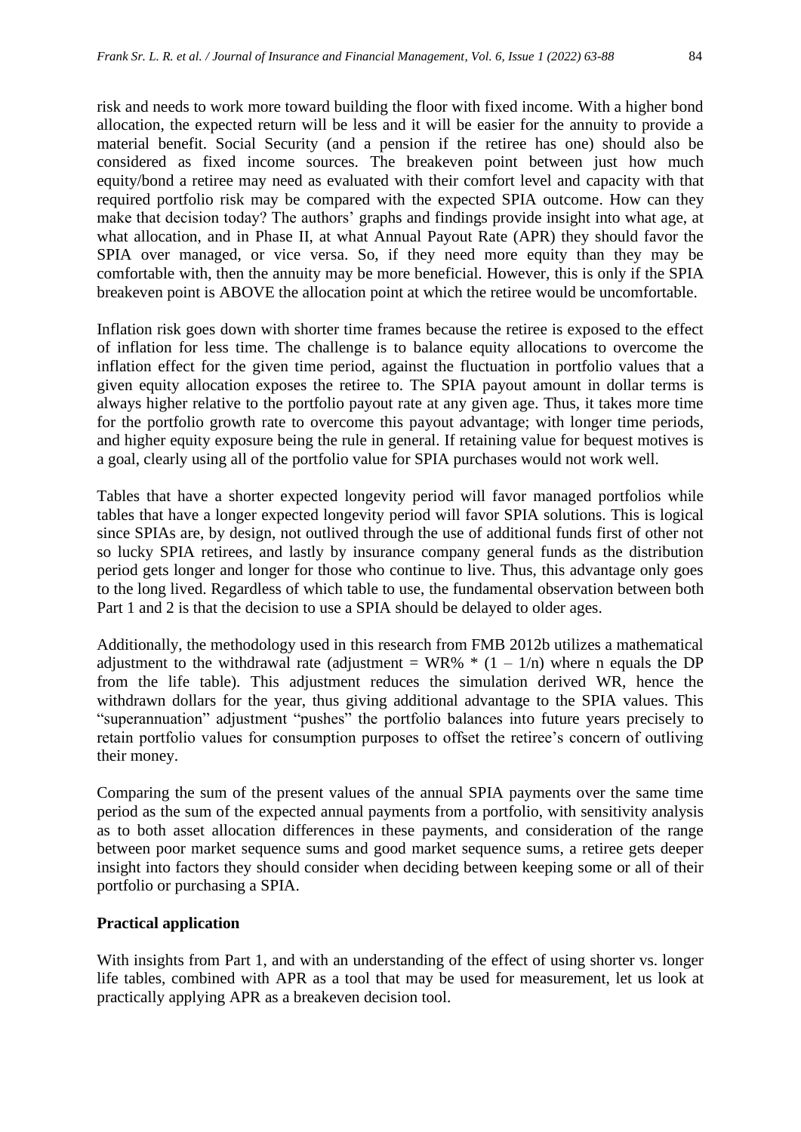risk and needs to work more toward building the floor with fixed income. With a higher bond allocation, the expected return will be less and it will be easier for the annuity to provide a material benefit. Social Security (and a pension if the retiree has one) should also be considered as fixed income sources. The breakeven point between just how much equity/bond a retiree may need as evaluated with their comfort level and capacity with that required portfolio risk may be compared with the expected SPIA outcome. How can they make that decision today? The authors' graphs and findings provide insight into what age, at what allocation, and in Phase II, at what Annual Payout Rate (APR) they should favor the SPIA over managed, or vice versa. So, if they need more equity than they may be comfortable with, then the annuity may be more beneficial. However, this is only if the SPIA breakeven point is ABOVE the allocation point at which the retiree would be uncomfortable.

Inflation risk goes down with shorter time frames because the retiree is exposed to the effect of inflation for less time. The challenge is to balance equity allocations to overcome the inflation effect for the given time period, against the fluctuation in portfolio values that a given equity allocation exposes the retiree to. The SPIA payout amount in dollar terms is always higher relative to the portfolio payout rate at any given age. Thus, it takes more time for the portfolio growth rate to overcome this payout advantage; with longer time periods, and higher equity exposure being the rule in general. If retaining value for bequest motives is a goal, clearly using all of the portfolio value for SPIA purchases would not work well.

Tables that have a shorter expected longevity period will favor managed portfolios while tables that have a longer expected longevity period will favor SPIA solutions. This is logical since SPIAs are, by design, not outlived through the use of additional funds first of other not so lucky SPIA retirees, and lastly by insurance company general funds as the distribution period gets longer and longer for those who continue to live. Thus, this advantage only goes to the long lived. Regardless of which table to use, the fundamental observation between both Part 1 and 2 is that the decision to use a SPIA should be delayed to older ages.

Additionally, the methodology used in this research from FMB 2012b utilizes a mathematical adjustment to the withdrawal rate (adjustment = WR%  $*(1 - 1/n)$  where n equals the DP from the life table). This adjustment reduces the simulation derived WR, hence the withdrawn dollars for the year, thus giving additional advantage to the SPIA values. This "superannuation" adjustment "pushes" the portfolio balances into future years precisely to retain portfolio values for consumption purposes to offset the retiree's concern of outliving their money.

Comparing the sum of the present values of the annual SPIA payments over the same time period as the sum of the expected annual payments from a portfolio, with sensitivity analysis as to both asset allocation differences in these payments, and consideration of the range between poor market sequence sums and good market sequence sums, a retiree gets deeper insight into factors they should consider when deciding between keeping some or all of their portfolio or purchasing a SPIA.

# **Practical application**

With insights from Part 1, and with an understanding of the effect of using shorter vs. longer life tables, combined with APR as a tool that may be used for measurement, let us look at practically applying APR as a breakeven decision tool.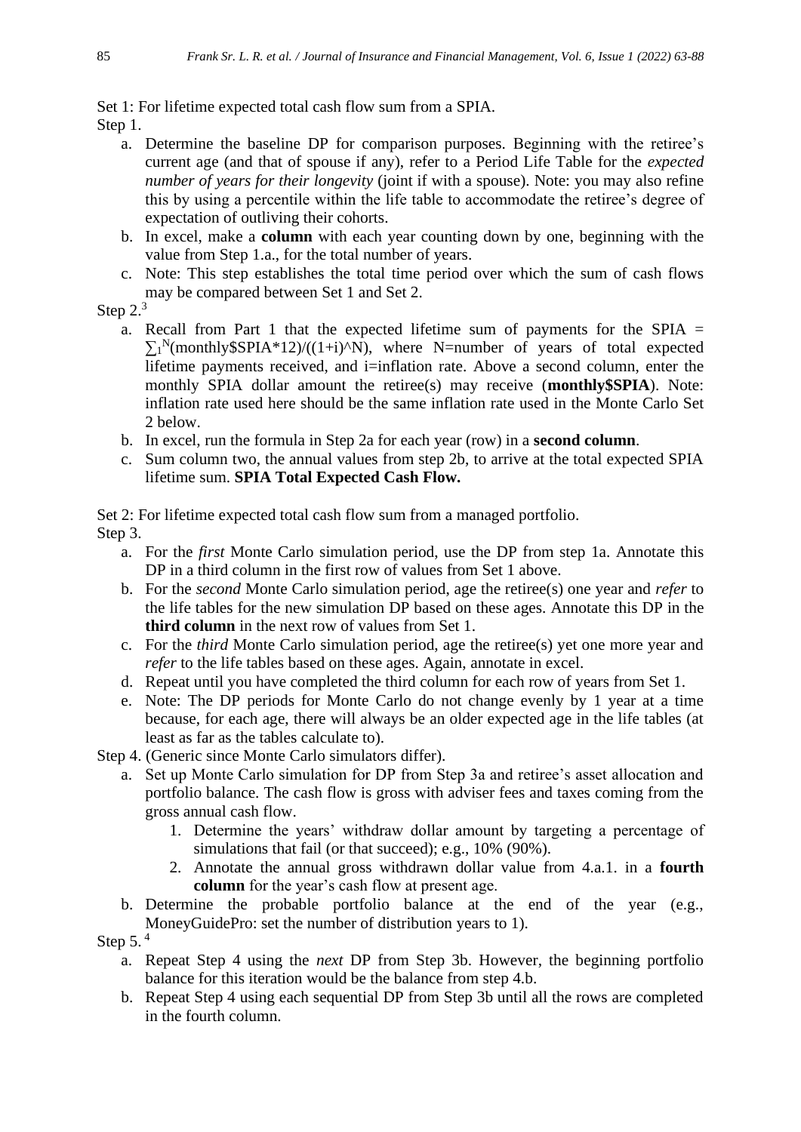### Set 1: For lifetime expected total cash flow sum from a SPIA.

Step 1.

- a. Determine the baseline DP for comparison purposes. Beginning with the retiree's current age (and that of spouse if any), refer to a Period Life Table for the *expected number of years for their longevity* (joint if with a spouse). Note: you may also refine this by using a percentile within the life table to accommodate the retiree's degree of expectation of outliving their cohorts.
- b. In excel, make a **column** with each year counting down by one, beginning with the value from Step 1.a., for the total number of years.
- c. Note: This step establishes the total time period over which the sum of cash flows may be compared between Set 1 and Set 2.

# Step 2.<sup>3</sup>

- a. Recall from Part 1 that the expected lifetime sum of payments for the SPIA =  $\sum_{1}^{N}$ (monthly\$SPIA\*12)/((1+i)^N), where N=number of years of total expected lifetime payments received, and i=inflation rate. Above a second column, enter the monthly SPIA dollar amount the retiree(s) may receive (**monthly\$SPIA**). Note: inflation rate used here should be the same inflation rate used in the Monte Carlo Set 2 below.
- b. In excel, run the formula in Step 2a for each year (row) in a **second column**.
- c. Sum column two, the annual values from step 2b, to arrive at the total expected SPIA lifetime sum. **SPIA Total Expected Cash Flow.**

Set 2: For lifetime expected total cash flow sum from a managed portfolio. Step 3.

- a. For the *first* Monte Carlo simulation period, use the DP from step 1a. Annotate this DP in a third column in the first row of values from Set 1 above.
- b. For the *second* Monte Carlo simulation period, age the retiree(s) one year and *refer* to the life tables for the new simulation DP based on these ages. Annotate this DP in the **third column** in the next row of values from Set 1.
- c. For the *third* Monte Carlo simulation period, age the retiree(s) yet one more year and *refer* to the life tables based on these ages. Again, annotate in excel.
- d. Repeat until you have completed the third column for each row of years from Set 1.
- e. Note: The DP periods for Monte Carlo do not change evenly by 1 year at a time because, for each age, there will always be an older expected age in the life tables (at least as far as the tables calculate to).

Step 4. (Generic since Monte Carlo simulators differ).

- a. Set up Monte Carlo simulation for DP from Step 3a and retiree's asset allocation and portfolio balance. The cash flow is gross with adviser fees and taxes coming from the gross annual cash flow.
	- 1. Determine the years' withdraw dollar amount by targeting a percentage of simulations that fail (or that succeed); e.g., 10% (90%).
	- 2. Annotate the annual gross withdrawn dollar value from 4.a.1. in a **fourth column** for the year's cash flow at present age.
- b. Determine the probable portfolio balance at the end of the year (e.g., MoneyGuidePro: set the number of distribution years to 1).

Step  $5.4$ 

- a. Repeat Step 4 using the *next* DP from Step 3b. However, the beginning portfolio balance for this iteration would be the balance from step 4.b.
- b. Repeat Step 4 using each sequential DP from Step 3b until all the rows are completed in the fourth column.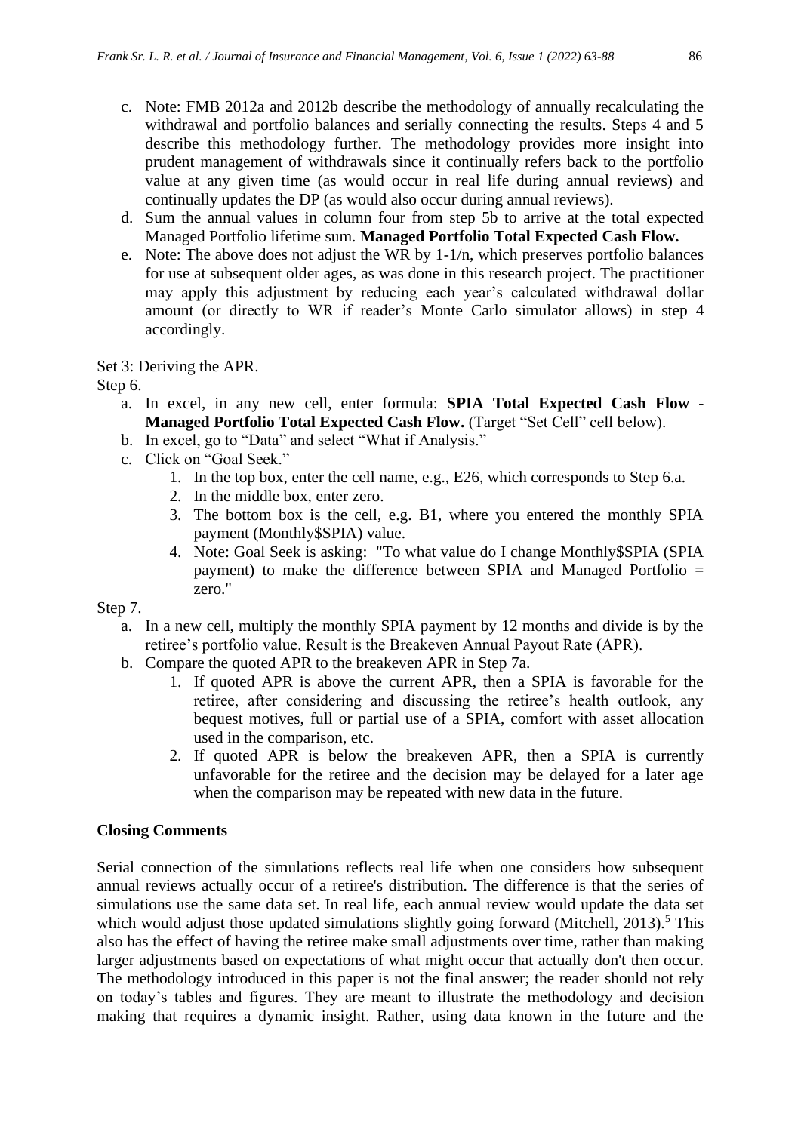- c. Note: FMB 2012a and 2012b describe the methodology of annually recalculating the withdrawal and portfolio balances and serially connecting the results. Steps 4 and 5 describe this methodology further. The methodology provides more insight into prudent management of withdrawals since it continually refers back to the portfolio value at any given time (as would occur in real life during annual reviews) and continually updates the DP (as would also occur during annual reviews).
- d. Sum the annual values in column four from step 5b to arrive at the total expected Managed Portfolio lifetime sum. **Managed Portfolio Total Expected Cash Flow.**
- e. Note: The above does not adjust the WR by 1-1/n, which preserves portfolio balances for use at subsequent older ages, as was done in this research project. The practitioner may apply this adjustment by reducing each year's calculated withdrawal dollar amount (or directly to WR if reader's Monte Carlo simulator allows) in step 4 accordingly.

Set 3: Deriving the APR.

Step 6.

- a. In excel, in any new cell, enter formula: **SPIA Total Expected Cash Flow - Managed Portfolio Total Expected Cash Flow.** (Target "Set Cell" cell below).
- b. In excel, go to "Data" and select "What if Analysis."
- c. Click on "Goal Seek."
	- 1. In the top box, enter the cell name, e.g., E26, which corresponds to Step 6.a.
	- 2. In the middle box, enter zero.
	- 3. The bottom box is the cell, e.g. B1, where you entered the monthly SPIA payment (Monthly\$SPIA) value.
	- 4. Note: Goal Seek is asking: "To what value do I change Monthly\$SPIA (SPIA payment) to make the difference between SPIA and Managed Portfolio = zero."

Step 7.

- a. In a new cell, multiply the monthly SPIA payment by 12 months and divide is by the retiree's portfolio value. Result is the Breakeven Annual Payout Rate (APR).
- b. Compare the quoted APR to the breakeven APR in Step 7a.
	- 1. If quoted APR is above the current APR, then a SPIA is favorable for the retiree, after considering and discussing the retiree's health outlook, any bequest motives, full or partial use of a SPIA, comfort with asset allocation used in the comparison, etc.
	- 2. If quoted APR is below the breakeven APR, then a SPIA is currently unfavorable for the retiree and the decision may be delayed for a later age when the comparison may be repeated with new data in the future.

#### **Closing Comments**

Serial connection of the simulations reflects real life when one considers how subsequent annual reviews actually occur of a retiree's distribution. The difference is that the series of simulations use the same data set. In real life, each annual review would update the data set which would adjust those updated simulations slightly going forward (Mitchell, 2013).<sup>5</sup> This also has the effect of having the retiree make small adjustments over time, rather than making larger adjustments based on expectations of what might occur that actually don't then occur. The methodology introduced in this paper is not the final answer; the reader should not rely on today's tables and figures. They are meant to illustrate the methodology and decision making that requires a dynamic insight. Rather, using data known in the future and the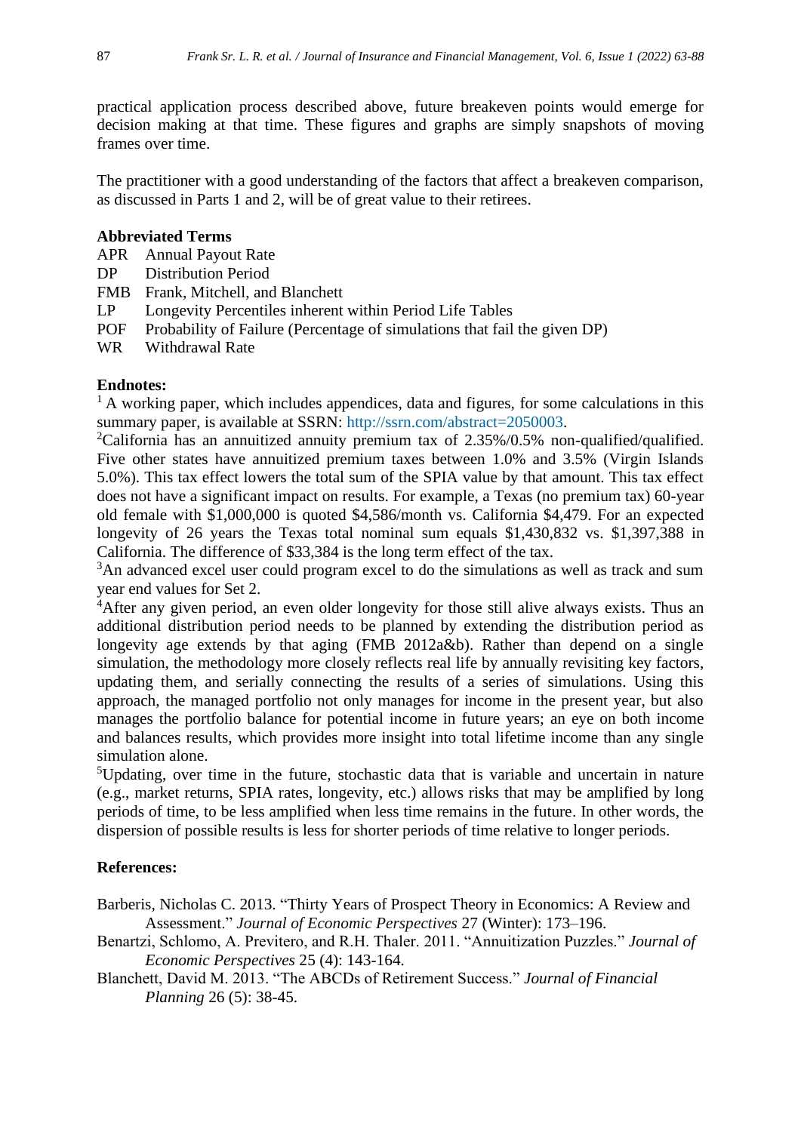practical application process described above, future breakeven points would emerge for decision making at that time. These figures and graphs are simply snapshots of moving frames over time.

The practitioner with a good understanding of the factors that affect a breakeven comparison, as discussed in Parts 1 and 2, will be of great value to their retirees.

#### **Abbreviated Terms**

- APR Annual Payout Rate
- DP Distribution Period
- FMB Frank, Mitchell, and Blanchett
- LP Longevity Percentiles inherent within Period Life Tables
- POF Probability of Failure (Percentage of simulations that fail the given DP)
- WR Withdrawal Rate

# **Endnotes:**

 $<sup>1</sup>$  A working paper, which includes appendices, data and figures, for some calculations in this</sup> summary paper, is available at SSRN: [http://ssrn.com/abstract=2050003.](http://ssrn.com/abstract=2050003)

<sup>2</sup>California has an annuitized annuity premium tax of  $2.35\%/0.5\%$  non-qualified/qualified. Five other states have annuitized premium taxes between 1.0% and 3.5% (Virgin Islands 5.0%). This tax effect lowers the total sum of the SPIA value by that amount. This tax effect does not have a significant impact on results. For example, a Texas (no premium tax) 60-year old female with \$1,000,000 is quoted \$4,586/month vs. California \$4,479. For an expected longevity of 26 years the Texas total nominal sum equals \$1,430,832 vs. \$1,397,388 in California. The difference of \$33,384 is the long term effect of the tax.

<sup>3</sup>An advanced excel user could program excel to do the simulations as well as track and sum year end values for Set 2.

<sup>4</sup>After any given period, an even older longevity for those still alive always exists. Thus an additional distribution period needs to be planned by extending the distribution period as longevity age extends by that aging (FMB 2012a&b). Rather than depend on a single simulation, the methodology more closely reflects real life by annually revisiting key factors, updating them, and serially connecting the results of a series of simulations. Using this approach, the managed portfolio not only manages for income in the present year, but also manages the portfolio balance for potential income in future years; an eye on both income and balances results, which provides more insight into total lifetime income than any single simulation alone.

<sup>5</sup>Updating, over time in the future, stochastic data that is variable and uncertain in nature (e.g., market returns, SPIA rates, longevity, etc.) allows risks that may be amplified by long periods of time, to be less amplified when less time remains in the future. In other words, the dispersion of possible results is less for shorter periods of time relative to longer periods.

# **References:**

Barberis, Nicholas C. 2013. "Thirty Years of Prospect Theory in Economics: A Review and Assessment." *[Journal of Economic Perspectives](http://pubs.aeaweb.org/doi/pdfplus/10.1257/jep.27.1.173)* 27 (Winter): 173–196.

- Benartzi, Schlomo, A. Previtero, and R.H. Thaler. 2011. "Annuitization Puzzles." *Journal of Economic Perspectives* 25 (4): 143-164.
- Blanchett, David M. 2013. "The ABCDs of Retirement Success." *Journal of Financial Planning* 26 (5): 38-45.